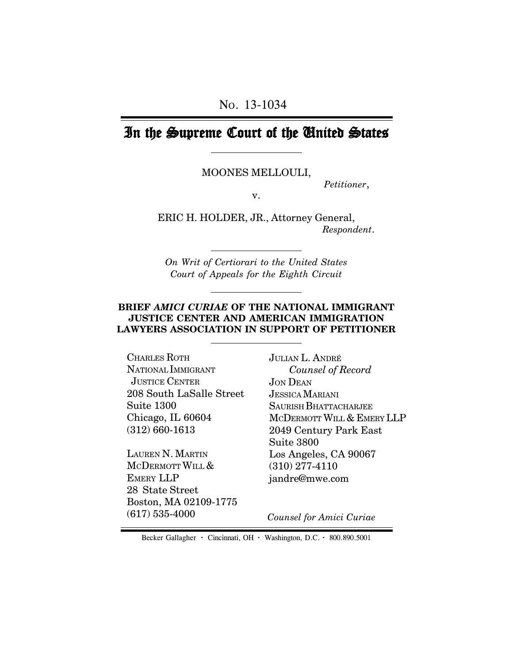# In the Supreme Court of the United States

MOONES MELLOULI,

*Petitioner*,

v.

ERIC H. HOLDER, JR., Attorney General, *Respondent*.

*On Writ of Certiorari to the United States Court of Appeals for the Eighth Circuit*

#### **BRIEF** *AMICI CURIAE* **OF THE NATIONAL IMMIGRANT JUSTICE CENTER AND AMERICAN IMMIGRATION LAWYERS ASSOCIATION IN SUPPORT OF PETITIONER**

CHARLES ROTH NATIONAL IMMIGRANT JUSTICE CENTER 208 South LaSalle Street Suite 1300 Chicago, IL 60604 (312) 660-1613

LAUREN N. MARTIN MCDERMOTT WILL & EMERY LLP 28 State Street Boston, MA 02109-1775 (617) 535-4000

JULIAN L. ANDRÉ *Counsel of Record* JON DEAN JESSICA MARIANI SAURISH BHATTACHARJEE MCDERMOTT WILL & EMERY LLP 2049 Century Park East Suite 3800 Los Angeles, CA 90067 (310) 277-4110 jandre@mwe.com

 *Counsel for Amici Curiae*

Becker Gallagher **·** Cincinnati, OH **·** Washington, D.C. **·** 800.890.5001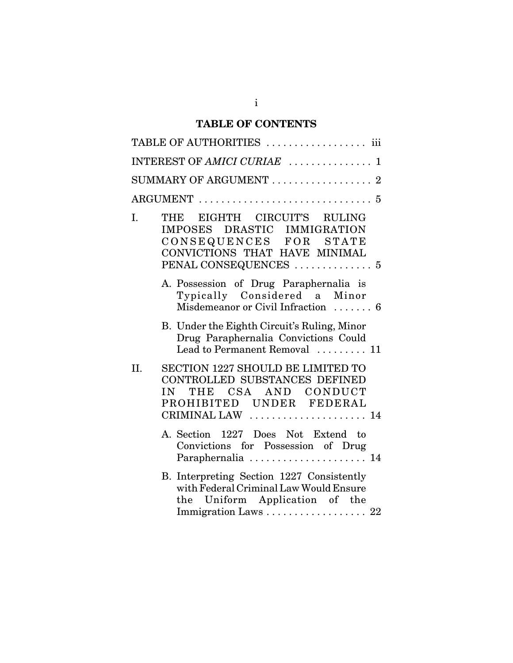## **TABLE OF CONTENTS**

|     | TABLE OF AUTHORITIES  iii                                                                                                                              |
|-----|--------------------------------------------------------------------------------------------------------------------------------------------------------|
|     | INTEREST OF AMICI CURIAE  1                                                                                                                            |
|     | SUMMARY OF ARGUMENT $\ldots \ldots \ldots \ldots \ldots 2$                                                                                             |
|     |                                                                                                                                                        |
| I.  | THE EIGHTH CIRCUIT'S RULING<br>DRASTIC IMMIGRATION<br>IMPOSES<br>CONSEQUENCES FOR STATE<br>CONVICTIONS THAT HAVE MINIMAL                               |
|     | A. Possession of Drug Paraphernalia is<br>Typically Considered a Minor<br>Misdemeanor or Civil Infraction  6                                           |
|     | B. Under the Eighth Circuit's Ruling, Minor<br>Drug Paraphernalia Convictions Could<br>Lead to Permanent Removal  11                                   |
| II. | <b>SECTION 1227 SHOULD BE LIMITED TO</b><br>CONTROLLED SUBSTANCES DEFINED<br>THE CSA AND CONDUCT<br>IN<br>PROHIBITED UNDER FEDERAL<br>CRIMINAL LAW  14 |
|     | A. Section 1227 Does Not Extend to<br>Convictions for Possession of Drug<br>Paraphernalia  14                                                          |
|     | B. Interpreting Section 1227 Consistently<br>with Federal Criminal Law Would Ensure<br>Uniform Application of the<br>the<br>Immigration Laws  22       |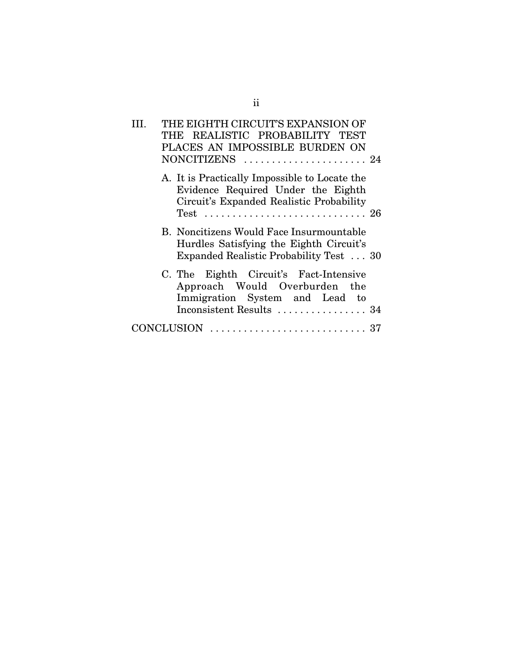|  | THE EIGHTH CIRCUIT'S EXPANSION OF                                                                                                     |  |
|--|---------------------------------------------------------------------------------------------------------------------------------------|--|
|  | THE REALISTIC PROBABILITY TEST                                                                                                        |  |
|  | PLACES AN IMPOSSIBLE BURDEN ON                                                                                                        |  |
|  |                                                                                                                                       |  |
|  | A. It is Practically Impossible to Locate the<br>Evidence Required Under the Eighth<br>Circuit's Expanded Realistic Probability       |  |
|  | B. Noncitizens Would Face Insurmountable<br>Hurdles Satisfying the Eighth Circuit's<br>Expanded Realistic Probability Test  30        |  |
|  | C. The Eighth Circuit's Fact-Intensive<br>Approach Would Overburden the<br>Immigration System and Lead to<br>Inconsistent Results  34 |  |
|  |                                                                                                                                       |  |
|  | $CONCLUSION \dots \dots \dots \dots \dots \dots \dots \dots \dots \dots 37$                                                           |  |
|  |                                                                                                                                       |  |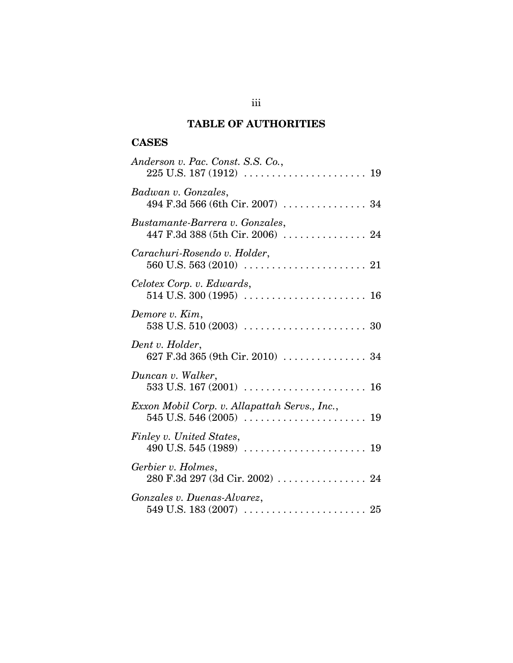## **TABLE OF AUTHORITIES**

## **CASES**

| Anderson v. Pac. Const. S.S. Co.,                                                                                                            |
|----------------------------------------------------------------------------------------------------------------------------------------------|
| Badwan v. Gonzales,<br>494 F.3d 566 (6th Cir. 2007)  34                                                                                      |
| Bustamante-Barrera v. Gonzales,<br>447 F.3d 388 (5th Cir. 2006) $\ldots \ldots \ldots \ldots \ldots$ 24                                      |
| Carachuri-Rosendo v. Holder,                                                                                                                 |
| Celotex Corp. v. Edwards,                                                                                                                    |
| Demore v. Kim,                                                                                                                               |
| Dent v. Holder,<br>627 F.3d 365 (9th Cir. 2010)  34                                                                                          |
| Duncan v. Walker,                                                                                                                            |
| Exxon Mobil Corp. v. Allapattah Servs., Inc.,<br>$545 \text{ U.S. } 546 \, (2005) \, \ldots \ldots \ldots \ldots \ldots \ldots \ldots \, 19$ |
| Finley v. United States,<br>490 U.S. 545 (1989) $\ldots \ldots \ldots \ldots \ldots \ldots \ldots \ldots$ 19                                 |
| Gerbier v. Holmes,                                                                                                                           |
| Gonzales v. Duenas-Alvarez,                                                                                                                  |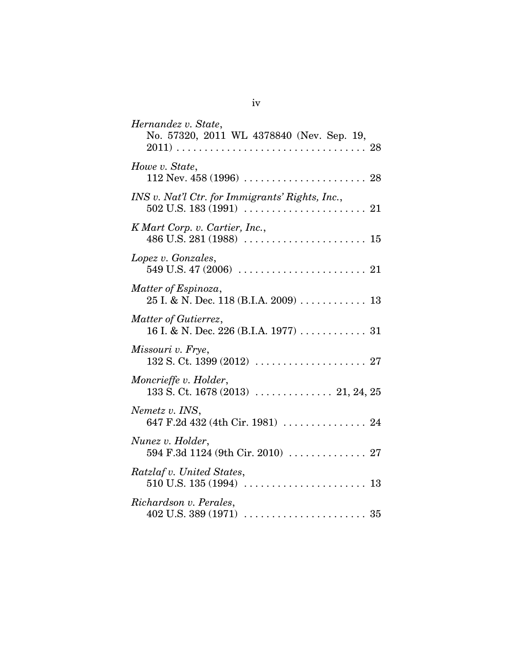| Hernandez v. State,<br>No. 57320, 2011 WL 4378840 (Nev. Sep. 19, |
|------------------------------------------------------------------|
| Howe v. State,                                                   |
| INS v. Nat'l Ctr. for Immigrants' Rights, Inc.,                  |
| K Mart Corp. v. Cartier, Inc.,                                   |
| Lopez v. Gonzales,                                               |
| Matter of Espinoza,                                              |
| Matter of Gutierrez,                                             |
| Missouri v. Frye,                                                |
| Moncrieffe v. Holder,                                            |
| Nemetz v. INS,<br>647 F.2d 432 (4th Cir. 1981)  24               |
| Nunez v. Holder,<br>594 F.3d 1124 (9th Cir. 2010)  27            |
| Ratzlaf v. United States,                                        |
| Richardson v. Perales,                                           |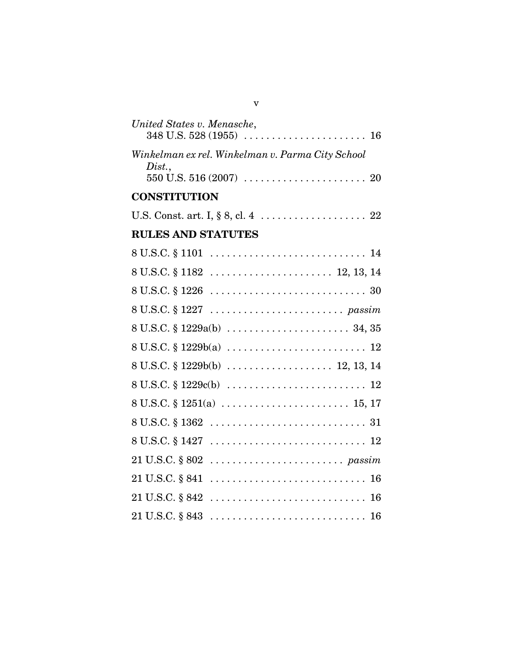| United States v. Menasche,                                                                 |
|--------------------------------------------------------------------------------------------|
| Winkelman ex rel. Winkelman v. Parma City School<br>Dist.,                                 |
| <b>CONSTITUTION</b>                                                                        |
|                                                                                            |
| <b>RULES AND STATUTES</b>                                                                  |
|                                                                                            |
|                                                                                            |
|                                                                                            |
|                                                                                            |
|                                                                                            |
| $8 U.S.C. \S 1229b(a) \ldots \ldots \ldots \ldots \ldots \ldots \ldots \ldots 12$          |
| $8 U.S.C. \S 1229b(b) \ldots \ldots \ldots \ldots \ldots \ldots 12, 13, 14$                |
| $8 U.S.C. \S 1229c(b) \ldots \ldots \ldots \ldots \ldots \ldots \ldots \ldots 12$          |
|                                                                                            |
| $8 U.S.C. \S 1362 \ldots \ldots \ldots \ldots \ldots \ldots \ldots \ldots \ldots \quad 31$ |
|                                                                                            |
|                                                                                            |
|                                                                                            |
|                                                                                            |
| 21 U.S.C. § 843                                                                            |

v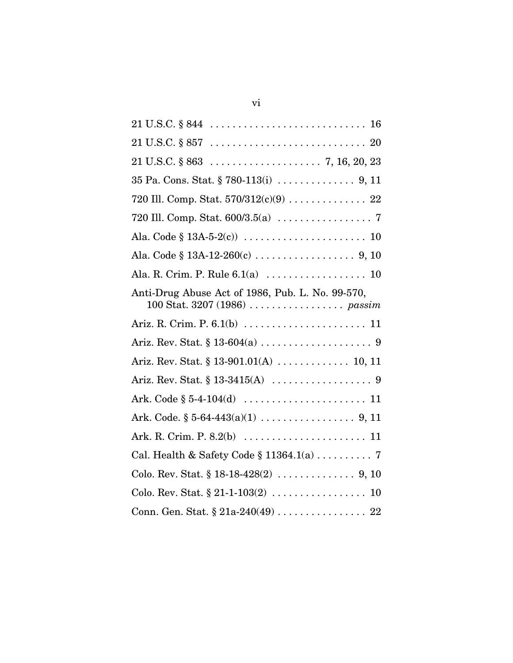| Anti-Drug Abuse Act of 1986, Pub. L. No. 99-570,                      |
|-----------------------------------------------------------------------|
|                                                                       |
|                                                                       |
| Ariz. Rev. Stat. § 13-901.01(A)  10, 11                               |
| Ariz. Rev. Stat. $§ 13-3415(A) \dots \dots \dots \dots \dots \dots 9$ |
|                                                                       |
|                                                                       |
|                                                                       |
|                                                                       |
|                                                                       |
|                                                                       |
|                                                                       |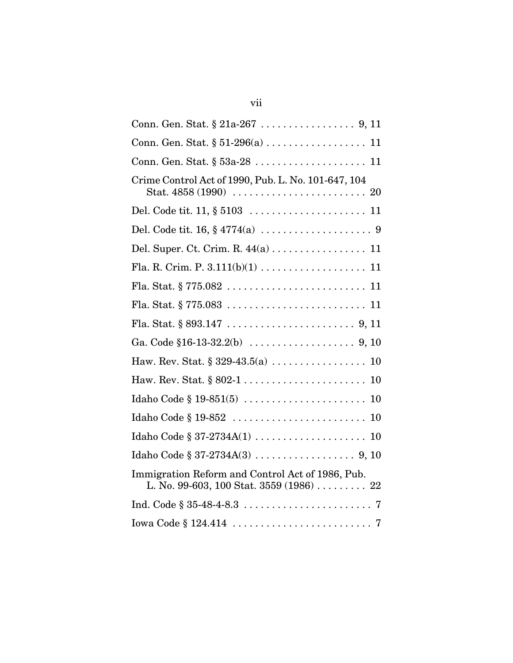| Crime Control Act of 1990, Pub. L. No. 101-647, 104                                          |
|----------------------------------------------------------------------------------------------|
|                                                                                              |
|                                                                                              |
| Del. Super. Ct. Crim. R. 44(a) 11                                                            |
|                                                                                              |
|                                                                                              |
|                                                                                              |
|                                                                                              |
|                                                                                              |
|                                                                                              |
| 10                                                                                           |
| 10                                                                                           |
|                                                                                              |
|                                                                                              |
|                                                                                              |
| Immigration Reform and Control Act of 1986, Pub.<br>L. No. 99-603, 100 Stat. 3559 (1986)  22 |
|                                                                                              |
|                                                                                              |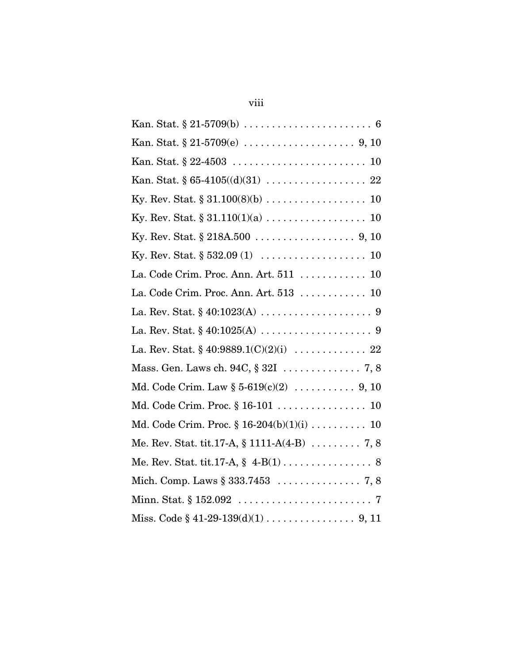| La. Code Crim. Proc. Ann. Art. 511  10          |
|-------------------------------------------------|
|                                                 |
|                                                 |
|                                                 |
|                                                 |
|                                                 |
|                                                 |
| Md. Code Crim. Proc. § 16-101  10               |
| Md. Code Crim. Proc. $\S 16-204(b)(1)(i)$ 10    |
| Me. Rev. Stat. tit.17-A, $\S$ 1111-A(4-B)  7, 8 |
| Me. Rev. Stat. tit.17-A, $\S$ 4-B(1) 8          |
|                                                 |
|                                                 |
| Miss. Code $\S$ 41-29-139(d)(1) 9, 11           |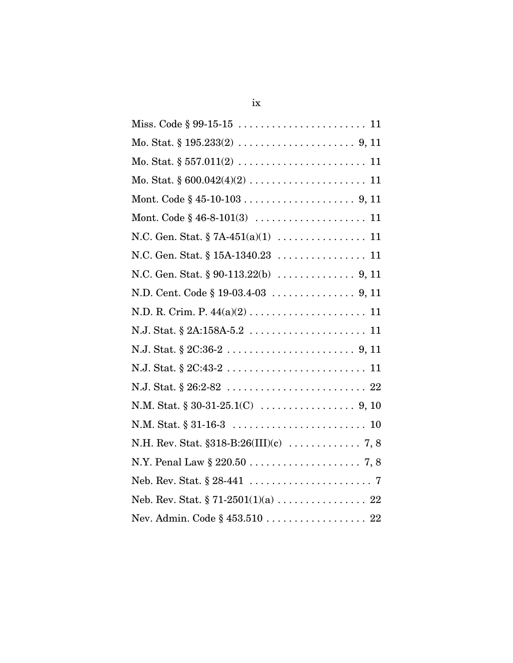| Mo. Stat. $\S 557.011(2) \ldots \ldots \ldots \ldots \ldots \ldots \ldots \ldots 11$ |
|--------------------------------------------------------------------------------------|
|                                                                                      |
|                                                                                      |
|                                                                                      |
|                                                                                      |
| N.C. Gen. Stat. § 15A-1340.23 11                                                     |
|                                                                                      |
|                                                                                      |
|                                                                                      |
|                                                                                      |
|                                                                                      |
|                                                                                      |
|                                                                                      |
|                                                                                      |
|                                                                                      |
| N.H. Rev. Stat. $$318-B:26(III)(c) \ldots \ldots \ldots \ldots 7, 8$                 |
|                                                                                      |
|                                                                                      |
|                                                                                      |
| Nev. Admin. Code § 453.510 22                                                        |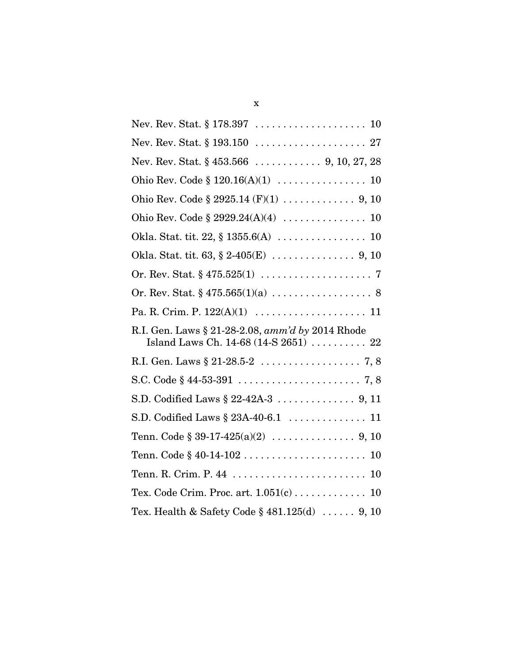| Nev. Rev. Stat. § 453.566  9, 10, 27, 28         |
|--------------------------------------------------|
|                                                  |
|                                                  |
|                                                  |
|                                                  |
|                                                  |
|                                                  |
|                                                  |
|                                                  |
| R.I. Gen. Laws § 21-28-2.08, amm'd by 2014 Rhode |
|                                                  |
|                                                  |
|                                                  |
| S.D. Codified Laws § 23A-40-6.1  11              |
|                                                  |
|                                                  |
|                                                  |
|                                                  |
| Tex. Code Crim. Proc. art. 1.051(c) 10           |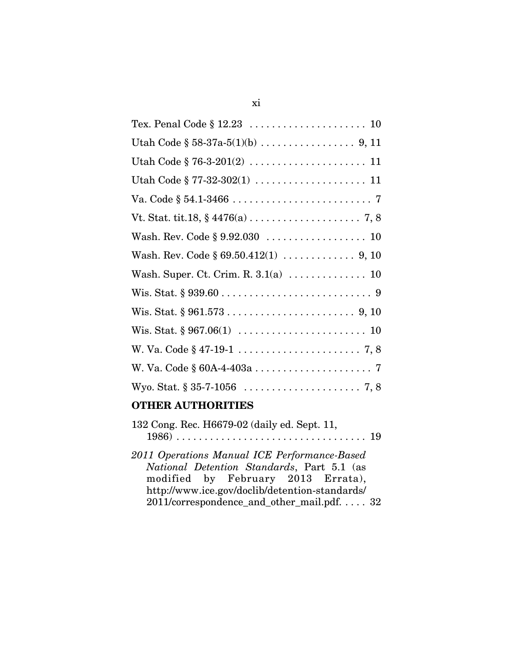| Va. Code $\S 54.1 - 3466 \ldots \ldots \ldots \ldots \ldots \ldots \ldots \ldots \ldots$ |
|------------------------------------------------------------------------------------------|
|                                                                                          |
|                                                                                          |
| Wash. Rev. Code $\S 69.50.412(1) \ldots \ldots \ldots \ldots \ldots$ 9, 10               |
|                                                                                          |
|                                                                                          |
| Wis. Stat. $§ 961.573 \ldots \ldots \ldots \ldots \ldots \ldots \ldots 9, 10$            |
|                                                                                          |
|                                                                                          |
|                                                                                          |
|                                                                                          |
|                                                                                          |

## **OTHER AUTHORITIES**

| 132 Cong. Rec. H6679-02 (daily ed. Sept. 11,                                                                                                                                                                                     |  |
|----------------------------------------------------------------------------------------------------------------------------------------------------------------------------------------------------------------------------------|--|
| 2011 Operations Manual ICE Performance-Based<br>National Detention Standards, Part 5.1 (as<br>modified by February 2013 Errata),<br>http://www.ice.gov/doclib/detention-standards/<br>2011/correspondence_and_other_mail.pdf. 32 |  |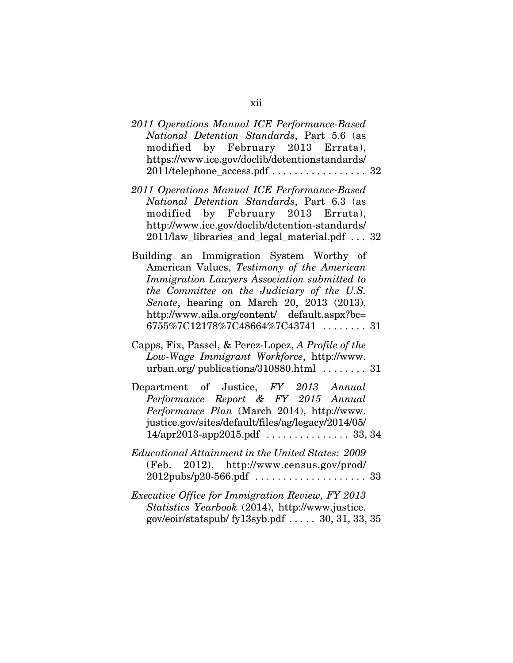| 2011 Operations Manual ICE Performance-Based<br>National Detention Standards, Part 5.6 (as<br>modified by February 2013 Errata),<br>https://www.ice.gov/doclib/detentionstandards/<br>2011/telephone_access.pdf  32                                                                                                    |
|------------------------------------------------------------------------------------------------------------------------------------------------------------------------------------------------------------------------------------------------------------------------------------------------------------------------|
| 2011 Operations Manual ICE Performance-Based<br>National Detention Standards, Part 6.3 (as<br>modified by February 2013 Errata),<br>http://www.ice.gov/doclib/detention-standards/<br>2011/law_libraries_and_legal_material.pdf 32                                                                                     |
| Building an Immigration System Worthy of<br>American Values, Testimony of the American<br>Immigration Lawyers Association submitted to<br>the Committee on the Judiciary of the U.S.<br>Senate, hearing on March 20, 2013 (2013),<br>http://www.aila.org/content/ default.aspx?bc=<br>6755%7C12178%7C48664%7C43741  31 |
| Capps, Fix, Passel, & Perez-Lopez, A Profile of the<br>Low-Wage Immigrant Workforce, http://www.<br>urban.org/ publications/310880.html $\ldots \ldots$ 31                                                                                                                                                             |
| Department of Justice, FY 2013 Annual<br>Performance Report & FY 2015 Annual<br>Performance Plan (March 2014), http://www.<br>justice.gov/sites/default/files/ag/legacy/2014/05/                                                                                                                                       |
| <b>Educational Attainment in the United States: 2009</b><br>(Feb. 2012), http://www.census.gov/prod/                                                                                                                                                                                                                   |
| <i>Executive Office for Immigration Review, FY 2013</i><br>Statistics Yearbook (2014), http://www.justice.                                                                                                                                                                                                             |

gov/eoir/statspub/ fy13syb.pdf . . . . . 30, 31, 33, 35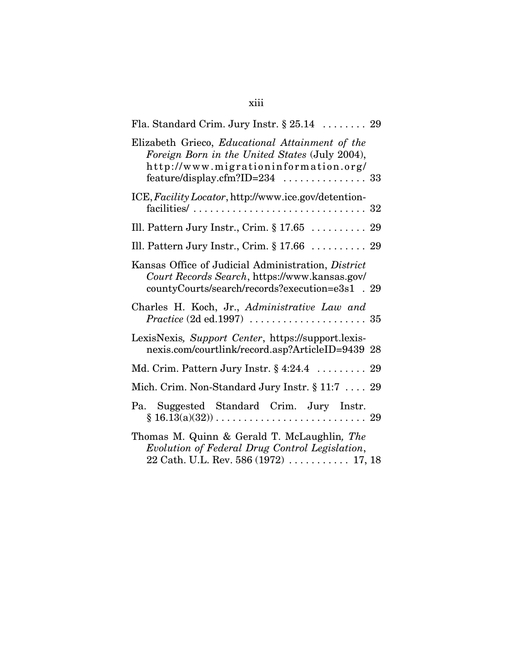| Fla. Standard Crim. Jury Instr. $\S 25.14$ 29                                                                                                          |  |
|--------------------------------------------------------------------------------------------------------------------------------------------------------|--|
| Elizabeth Grieco, Educational Attainment of the<br>Foreign Born in the United States (July 2004),<br>http://www.migrationinformation.org/              |  |
| ICE, Facility Locator, http://www.ice.gov/detention-<br>facilities/ $\ldots \ldots \ldots \ldots \ldots \ldots \ldots \ldots \ldots \ldots 32$         |  |
| Ill. Pattern Jury Instr., Crim. $\S 17.65$ 29                                                                                                          |  |
| Ill. Pattern Jury Instr., Crim. $\S 17.66$ 29                                                                                                          |  |
| Kansas Office of Judicial Administration, District<br>Court Records Search, https://www.kansas.gov/<br>countyCourts/search/records?execution=e3s1 . 29 |  |
| Charles H. Koch, Jr., Administrative Law and<br>$Practice (2d ed.1997) \dots \dots \dots \dots \dots \dots \dots 35$                                   |  |
| LexisNexis, Support Center, https://support.lexis-<br>nexis.com/courtlink/record.asp?ArticleID=9439 28                                                 |  |
| Md. Crim. Pattern Jury Instr. § 4:24.4 29                                                                                                              |  |
| Mich. Crim. Non-Standard Jury Instr. § 11:7  29                                                                                                        |  |
| Pa. Suggested Standard Crim. Jury Instr.<br>$§ 16.13(a)(32)) \dots \dots \dots \dots \dots \dots \dots \dots \dots \dots 29$                           |  |
| Thomas M. Quinn & Gerald T. McLaughlin, The<br>Evolution of Federal Drug Control Legislation,<br>$22$ Cath. U.L. Rev. 586 (1972)  17, 18               |  |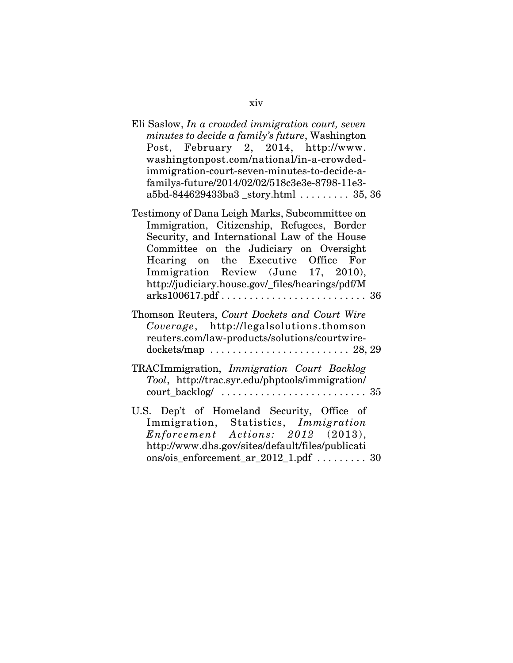## Eli Saslow, *In a crowded immigration court, seven minutes to decide a family's future*, Washington Post, February 2, 2014, http://www. washingtonpost.com/national/in-a-crowdedimmigration-court-seven-minutes-to-decide-afamilys-future/2014/02/02/518c3e3e-8798-11e3 a5bd-844629433ba3 \_story.html . . . . . . . . . 35, 36 Testimony of Dana Leigh Marks, Subcommittee on Immigration, Citizenship, Refugees, Border Security, and International Law of the House Committee on the Judiciary on Oversight Hearing on the Executive Office For Immigration Review (June 17, 2010), http://judiciary.house.gov/\_files/hearings/pdf/M arks100617.pdf . . . . . . . . . . . . . . . . . . . . . . . . . . 36 Thomson Reuters, *Court Dockets and Court Wire Coverage*, http://legalsolutions.thomson reuters.com/law-products/solutions/courtwiredockets/map . . . . . . . . . . . . . . . . . . . . . . . . . 28, 29 TRACImmigration, *Immigration Court Backlog Tool*, http://trac.syr.edu/phptools/immigration/ court\_backlog/ . . . . . . . . . . . . . . . . . . . . . . . . . . 35 U.S. Dep't of Homeland Security, Office of Immigration, Statistics, *Immigration Enforcement Actions: 2012* (2013), http://www.dhs.gov/sites/default/files/publicati ons/ois\_enforcement\_ar\_2012\_1.pdf  $\dots\dots \dots$  . 30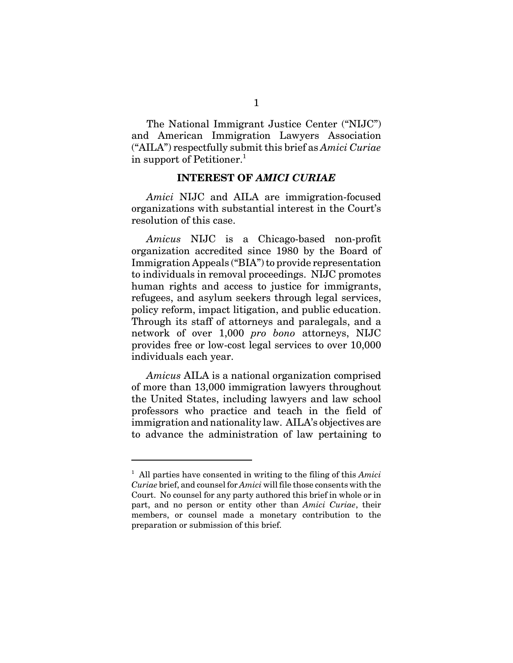The National Immigrant Justice Center ("NIJC") and American Immigration Lawyers Association ("AILA") respectfully submit this brief as *Amici Curiae* in support of Petitioner.<sup>1</sup>

#### **INTEREST OF** *AMICI CURIAE*

*Amici* NIJC and AILA are immigration-focused organizations with substantial interest in the Court's resolution of this case.

*Amicus* NIJC is a Chicago-based non-profit organization accredited since 1980 by the Board of Immigration Appeals ("BIA") to provide representation to individuals in removal proceedings. NIJC promotes human rights and access to justice for immigrants, refugees, and asylum seekers through legal services, policy reform, impact litigation, and public education. Through its staff of attorneys and paralegals, and a network of over 1,000 *pro bono* attorneys, NIJC provides free or low-cost legal services to over 10,000 individuals each year.

*Amicus* AILA is a national organization comprised of more than 13,000 immigration lawyers throughout the United States, including lawyers and law school professors who practice and teach in the field of immigration and nationality law. AILA's objectives are to advance the administration of law pertaining to

<sup>1</sup> All parties have consented in writing to the filing of this *Amici Curiae* brief, and counsel for *Amici* will file those consents with the Court. No counsel for any party authored this brief in whole or in part, and no person or entity other than *Amici Curiae*, their members, or counsel made a monetary contribution to the preparation or submission of this brief.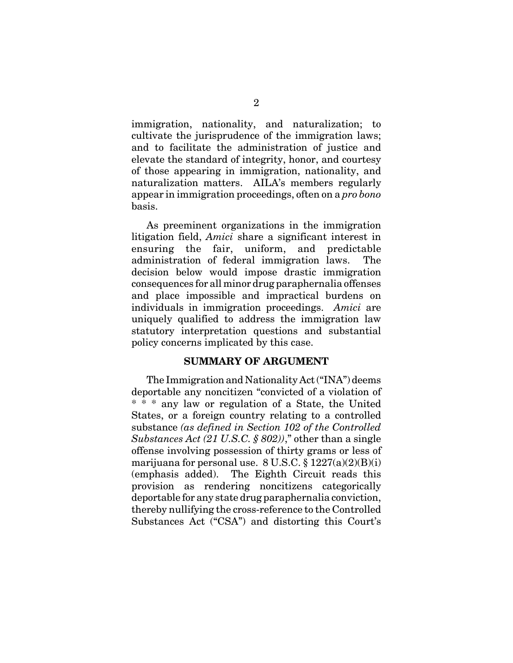immigration, nationality, and naturalization; to cultivate the jurisprudence of the immigration laws; and to facilitate the administration of justice and elevate the standard of integrity, honor, and courtesy of those appearing in immigration, nationality, and naturalization matters. AILA's members regularly appear in immigration proceedings, often on a *pro bono* basis.

As preeminent organizations in the immigration litigation field, *Amici* share a significant interest in ensuring the fair, uniform, and predictable administration of federal immigration laws. The decision below would impose drastic immigration consequences for all minor drug paraphernalia offenses and place impossible and impractical burdens on individuals in immigration proceedings. *Amici* are uniquely qualified to address the immigration law statutory interpretation questions and substantial policy concerns implicated by this case.

#### **SUMMARY OF ARGUMENT**

The Immigration and Nationality Act ("INA") deems deportable any noncitizen "convicted of a violation of \* \* \* any law or regulation of a State, the United States, or a foreign country relating to a controlled substance *(as defined in Section 102 of the Controlled Substances Act (21 U.S.C. § 802))*," other than a single offense involving possession of thirty grams or less of marijuana for personal use.  $8 \text{ U.S.C.} \$  $1227(a)(2)(B)(i)$ (emphasis added). The Eighth Circuit reads this provision as rendering noncitizens categorically deportable for any state drug paraphernalia conviction, thereby nullifying the cross-reference to the Controlled Substances Act ("CSA") and distorting this Court's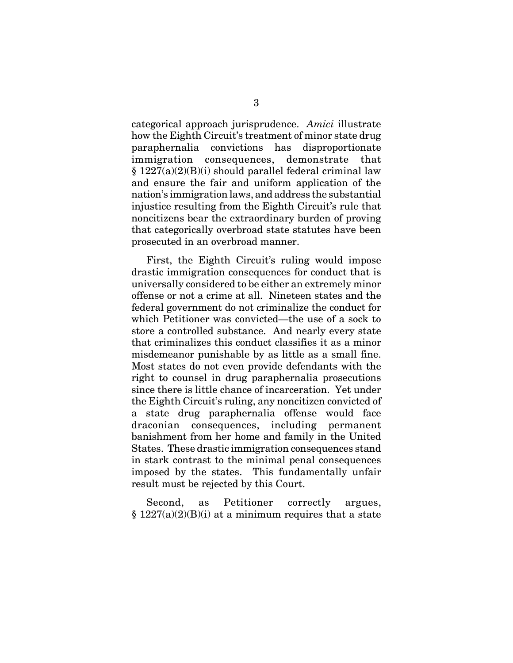categorical approach jurisprudence. *Amici* illustrate how the Eighth Circuit's treatment of minor state drug paraphernalia convictions has disproportionate immigration consequences, demonstrate that § 1227(a)(2)(B)(i) should parallel federal criminal law and ensure the fair and uniform application of the nation's immigration laws, and address the substantial injustice resulting from the Eighth Circuit's rule that noncitizens bear the extraordinary burden of proving that categorically overbroad state statutes have been prosecuted in an overbroad manner.

First, the Eighth Circuit's ruling would impose drastic immigration consequences for conduct that is universally considered to be either an extremely minor offense or not a crime at all. Nineteen states and the federal government do not criminalize the conduct for which Petitioner was convicted—the use of a sock to store a controlled substance. And nearly every state that criminalizes this conduct classifies it as a minor misdemeanor punishable by as little as a small fine. Most states do not even provide defendants with the right to counsel in drug paraphernalia prosecutions since there is little chance of incarceration. Yet under the Eighth Circuit's ruling, any noncitizen convicted of a state drug paraphernalia offense would face draconian consequences, including permanent banishment from her home and family in the United States. These drastic immigration consequences stand in stark contrast to the minimal penal consequences imposed by the states. This fundamentally unfair result must be rejected by this Court.

Second, as Petitioner correctly argues,  $§ 1227(a)(2)(B)(i)$  at a minimum requires that a state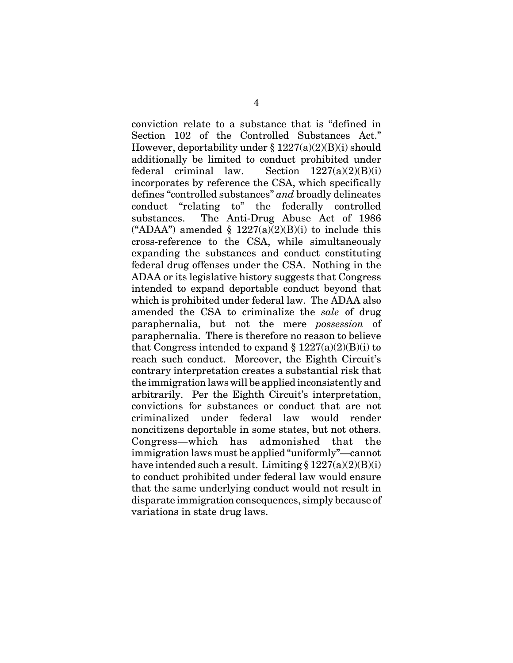conviction relate to a substance that is "defined in Section 102 of the Controlled Substances Act." However, deportability under  $\S 1227(a)(2)(B)(i)$  should additionally be limited to conduct prohibited under federal criminal law. Section  $1227(a)(2)(B)(i)$ incorporates by reference the CSA, which specifically defines "controlled substances" *and* broadly delineates conduct "relating to" the federally controlled substances. The Anti-Drug Abuse Act of 1986 ("ADAA") amended  $\S$  1227(a)(2)(B)(i) to include this cross-reference to the CSA, while simultaneously expanding the substances and conduct constituting federal drug offenses under the CSA. Nothing in the ADAA or its legislative history suggests that Congress intended to expand deportable conduct beyond that which is prohibited under federal law. The ADAA also amended the CSA to criminalize the *sale* of drug paraphernalia, but not the mere *possession* of paraphernalia. There is therefore no reason to believe that Congress intended to expand  $\S 1227(a)(2)(B)(i)$  to reach such conduct. Moreover, the Eighth Circuit's contrary interpretation creates a substantial risk that the immigration laws will be applied inconsistently and arbitrarily. Per the Eighth Circuit's interpretation, convictions for substances or conduct that are not criminalized under federal law would render noncitizens deportable in some states, but not others. Congress—which has admonished that the immigration laws must be applied "uniformly"—cannot have intended such a result. Limiting  $\S 1227(a)(2)(B)(i)$ to conduct prohibited under federal law would ensure that the same underlying conduct would not result in disparate immigration consequences, simply because of variations in state drug laws.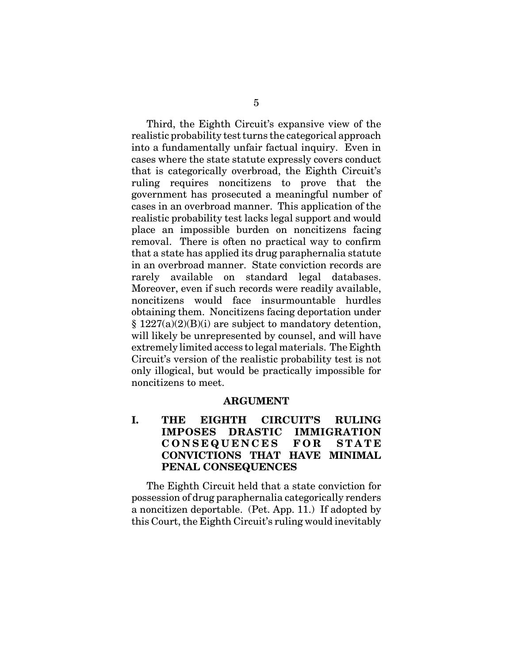Third, the Eighth Circuit's expansive view of the realistic probability test turns the categorical approach into a fundamentally unfair factual inquiry. Even in cases where the state statute expressly covers conduct that is categorically overbroad, the Eighth Circuit's ruling requires noncitizens to prove that the government has prosecuted a meaningful number of cases in an overbroad manner. This application of the realistic probability test lacks legal support and would place an impossible burden on noncitizens facing removal. There is often no practical way to confirm that a state has applied its drug paraphernalia statute in an overbroad manner. State conviction records are rarely available on standard legal databases. Moreover, even if such records were readily available, noncitizens would face insurmountable hurdles obtaining them. Noncitizens facing deportation under  $§ 1227(a)(2)(B)(i)$  are subject to mandatory detention, will likely be unrepresented by counsel, and will have extremely limited access to legal materials. The Eighth Circuit's version of the realistic probability test is not only illogical, but would be practically impossible for noncitizens to meet.

#### **ARGUMENT**

### **I. THE EIGHTH CIRCUIT'S RULING IMPOSES DRASTIC IMMIGRATION CONSEQUENCES FOR STATE CONVICTIONS THAT HAVE MINIMAL PENAL CONSEQUENCES**

The Eighth Circuit held that a state conviction for possession of drug paraphernalia categorically renders a noncitizen deportable. (Pet. App. 11.) If adopted by this Court, the Eighth Circuit's ruling would inevitably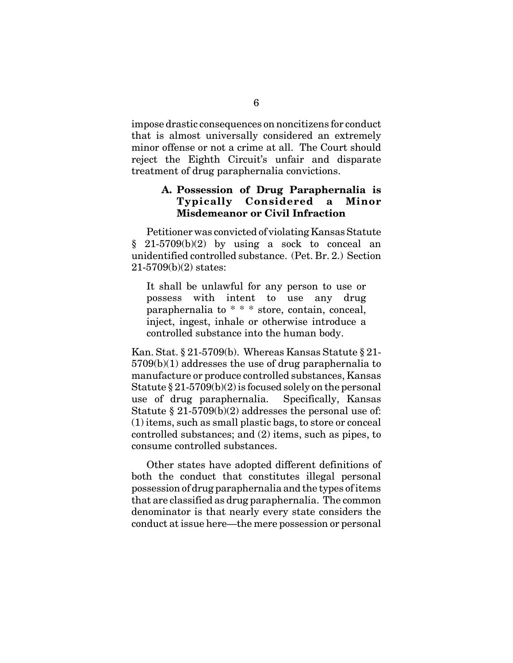impose drastic consequences on noncitizens for conduct that is almost universally considered an extremely minor offense or not a crime at all. The Court should reject the Eighth Circuit's unfair and disparate treatment of drug paraphernalia convictions.

#### **A. Possession of Drug Paraphernalia is Typically Considered a Minor Misdemeanor or Civil Infraction**

Petitioner was convicted of violating Kansas Statute  $§$  21-5709(b)(2) by using a sock to conceal an unidentified controlled substance. (Pet. Br. 2.) Section 21-5709(b)(2) states:

It shall be unlawful for any person to use or possess with intent to use any drug paraphernalia to \* \* \* store, contain, conceal, inject, ingest, inhale or otherwise introduce a controlled substance into the human body.

Kan. Stat. § 21-5709(b). Whereas Kansas Statute § 21- 5709(b)(1) addresses the use of drug paraphernalia to manufacture or produce controlled substances, Kansas Statute  $\S 21-5709(b)(2)$  is focused solely on the personal use of drug paraphernalia. Specifically, Kansas Statute  $\S 21-5709(b)(2)$  addresses the personal use of: (1) items, such as small plastic bags, to store or conceal controlled substances; and (2) items, such as pipes, to consume controlled substances.

Other states have adopted different definitions of both the conduct that constitutes illegal personal possession of drug paraphernalia and the types of items that are classified as drug paraphernalia. The common denominator is that nearly every state considers the conduct at issue here—the mere possession or personal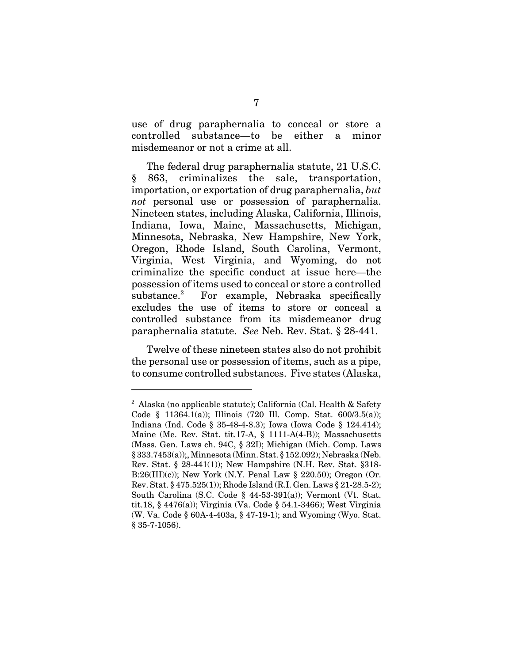use of drug paraphernalia to conceal or store a controlled substance—to be either a minor misdemeanor or not a crime at all.

The federal drug paraphernalia statute, 21 U.S.C. § 863, criminalizes the sale, transportation, importation, or exportation of drug paraphernalia, *but not* personal use or possession of paraphernalia. Nineteen states, including Alaska, California, Illinois, Indiana, Iowa, Maine, Massachusetts, Michigan, Minnesota, Nebraska, New Hampshire, New York, Oregon, Rhode Island, South Carolina, Vermont, Virginia, West Virginia, and Wyoming, do not criminalize the specific conduct at issue here—the possession of items used to conceal or store a controlled substance. $2$  For example, Nebraska specifically excludes the use of items to store or conceal a controlled substance from its misdemeanor drug paraphernalia statute. *See* Neb. Rev. Stat. § 28-441.

Twelve of these nineteen states also do not prohibit the personal use or possession of items, such as a pipe, to consume controlled substances. Five states (Alaska,

<sup>&</sup>lt;sup>2</sup> Alaska (no applicable statute); California (Cal. Health & Safety Code § 11364.1(a)); Illinois (720 Ill. Comp. Stat. 600/3.5(a)); Indiana (Ind. Code § 35-48-4-8.3); Iowa (Iowa Code § 124.414); Maine (Me. Rev. Stat. tit.17-A, § 1111-A(4-B)); Massachusetts (Mass. Gen. Laws ch. 94C, § 32I); Michigan (Mich. Comp. Laws § 333.7453(a));, Minnesota (Minn. Stat. § 152.092); Nebraska (Neb. Rev. Stat. § 28-441(1)); New Hampshire (N.H. Rev. Stat. §318- B:26(III)(c)); New York (N.Y. Penal Law  $\S$  220.50); Oregon (Or. Rev. Stat. § 475.525(1)); Rhode Island (R.I. Gen. Laws § 21-28.5-2); South Carolina (S.C. Code  $\S$  44-53-391(a)); Vermont (Vt. Stat. tit.18, § 4476(a)); Virginia (Va. Code § 54.1-3466); West Virginia (W. Va. Code § 60A-4-403a, § 47-19-1); and Wyoming (Wyo. Stat. § 35-7-1056).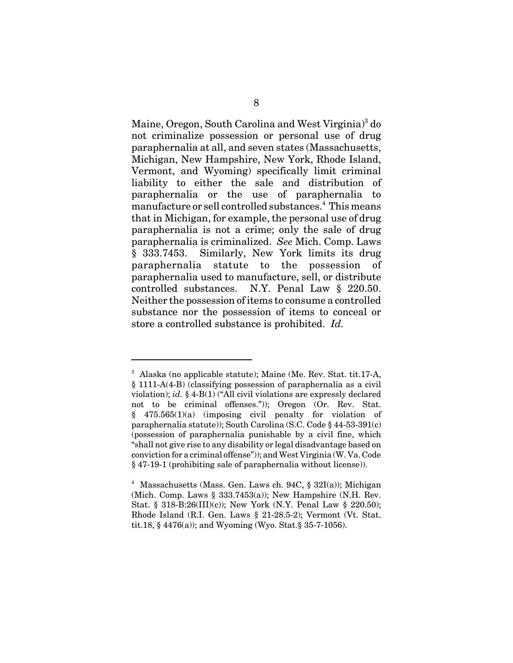Maine, Oregon, South Carolina and West Virginia)<sup>3</sup> do not criminalize possession or personal use of drug paraphernalia at all, and seven states (Massachusetts, Michigan, New Hampshire, New York, Rhode Island, Vermont, and Wyoming) specifically limit criminal liability to either the sale and distribution of paraphernalia or the use of paraphernalia to  $\,$ manufacture or sell controlled substances. $^4\,$  This means that in Michigan, for example, the personal use of drug paraphernalia is not a crime; only the sale of drug paraphernalia is criminalized. *See* Mich. Comp. Laws § 333.7453. Similarly, New York limits its drug paraphernalia statute to the possession of paraphernalia used to manufacture, sell, or distribute controlled substances. N.Y. Penal Law § 220.50. Neither the possession of items to consume a controlled substance nor the possession of items to conceal or store a controlled substance is prohibited. *Id.* 

<sup>&</sup>lt;sup>3</sup> Alaska (no applicable statute); Maine (Me. Rev. Stat. tit.17-A, § 1111-A(4-B) (classifying possession of paraphernalia as a civil violation); *id.* § 4-B(1) ("All civil violations are expressly declared not to be criminal offenses.")); Oregon (Or. Rev. Stat. § 475.565(1)(a) (imposing civil penalty for violation of paraphernalia statute)); South Carolina (S.C. Code § 44-53-391(c) (possession of paraphernalia punishable by a civil fine, which "shall not give rise to any disability or legal disadvantage based on conviction for a criminal offense")); and West Virginia (W. Va. Code § 47-19-1 (prohibiting sale of paraphernalia without license)).

<sup>&</sup>lt;sup>4</sup> Massachusetts (Mass. Gen. Laws ch. 94C, § 32I(a)); Michigan (Mich. Comp. Laws  $\S$  333.7453(a)); New Hampshire (N.H. Rev. Stat. § 318-B:26(III)(c)); New York (N.Y. Penal Law § 220.50); Rhode Island (R.I. Gen. Laws § 21-28.5-2); Vermont (Vt. Stat. tit.18, § 4476(a)); and Wyoming (Wyo. Stat.§ 35-7-1056).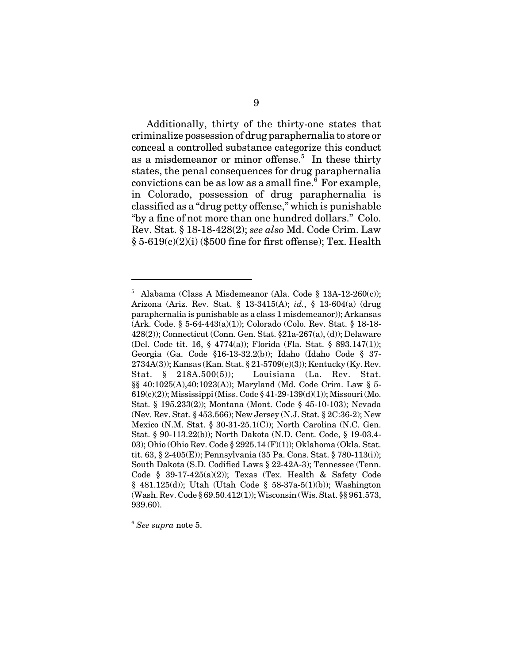Additionally, thirty of the thirty-one states that criminalize possession of drug paraphernalia to store or conceal a controlled substance categorize this conduct as a misdemeanor or minor offense.<sup>5</sup> In these thirty states, the penal consequences for drug paraphernalia convictions can be as low as a small fine.<sup>6</sup> For example, in Colorado, possession of drug paraphernalia is classified as a "drug petty offense," which is punishable "by a fine of not more than one hundred dollars." Colo. Rev. Stat. § 18-18-428(2); *see also* Md. Code Crim. Law  $\S 5-619(c)(2)(i)$  (\$500 fine for first offense); Tex. Health

<sup>5</sup> Alabama (Class A Misdemeanor (Ala. Code § 13A-12-260(c)); Arizona (Ariz. Rev. Stat. § 13-3415(A); *id.*, § 13-604(a) (drug paraphernalia is punishable as a class 1 misdemeanor)); Arkansas (Ark. Code. § 5-64-443(a)(1)); Colorado (Colo. Rev. Stat. § 18-18- 428(2)); Connecticut (Conn. Gen. Stat. §21a-267(a), (d)); Delaware (Del. Code tit. 16, § 4774(a)); Florida (Fla. Stat. § 893.147(1)); Georgia (Ga. Code §16-13-32.2(b)); Idaho (Idaho Code § 37- 2734A(3)); Kansas (Kan. Stat. § 21-5709(e)(3)); Kentucky (Ky. Rev. Stat. § 218A.500(5)); Louisiana (La. Rev. Stat. §§ 40:1025(A),40:1023(A)); Maryland (Md. Code Crim. Law § 5- 619(c)(2)); Mississippi (Miss. Code § 41-29-139(d)(1)); Missouri (Mo. Stat. § 195.233(2)); Montana (Mont. Code § 45-10-103); Nevada (Nev. Rev. Stat. § 453.566); New Jersey (N.J. Stat. § 2C:36-2); New Mexico (N.M. Stat. § 30-31-25.1(C)); North Carolina (N.C. Gen. Stat. § 90-113.22(b)); North Dakota (N.D. Cent. Code, § 19-03.4- 03); Ohio (Ohio Rev. Code § 2925.14 (F)(1)); Oklahoma (Okla. Stat. tit. 63, § 2-405(E)); Pennsylvania (35 Pa. Cons. Stat. § 780-113(i)); South Dakota (S.D. Codified Laws § 22-42A-3); Tennessee (Tenn. Code § 39-17-425(a)(2)); Texas (Tex. Health & Safety Code § 481.125(d)); Utah (Utah Code § 58-37a-5(1)(b)); Washington (Wash. Rev. Code § 69.50.412(1)); Wisconsin (Wis. Stat. §§ 961.573, 939.60).

<sup>6</sup> *See supra* note 5.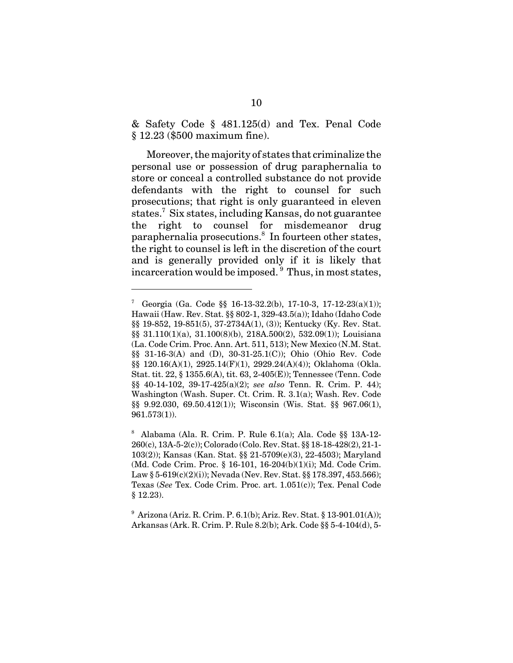& Safety Code § 481.125(d) and Tex. Penal Code § 12.23 (\$500 maximum fine).

Moreover, the majority of states that criminalize the personal use or possession of drug paraphernalia to store or conceal a controlled substance do not provide defendants with the right to counsel for such prosecutions; that right is only guaranteed in eleven states.<sup>7</sup> Six states, including Kansas, do not guarantee the right to counsel for misdemeanor drug paraphernalia prosecutions.<sup>8</sup> In fourteen other states, the right to counsel is left in the discretion of the court and is generally provided only if it is likely that incarceration would be imposed. <sup>9</sup> Thus, in most states,

<sup>7</sup> Georgia (Ga. Code §§ 16-13-32.2(b), 17-10-3, 17-12-23(a)(1)); Hawaii (Haw. Rev. Stat. §§ 802-1, 329-43.5(a)); Idaho (Idaho Code §§ 19-852, 19-851(5), 37-2734A(1), (3)); Kentucky (Ky. Rev. Stat. §§ 31.110(1)(a), 31.100(8)(b), 218A.500(2), 532.09(1)); Louisiana (La. Code Crim. Proc. Ann. Art. 511, 513); New Mexico (N.M. Stat. §§ 31-16-3(A) and (D), 30-31-25.1(C)); Ohio (Ohio Rev. Code §§ 120.16(A)(1), 2925.14(F)(1), 2929.24(A)(4)); Oklahoma (Okla. Stat. tit. 22, § 1355.6(A), tit. 63, 2-405(E)); Tennessee (Tenn. Code §§ 40-14-102, 39-17-425(a)(2); *see also* Tenn. R. Crim. P. 44); Washington (Wash. Super. Ct. Crim. R. 3.1(a); Wash. Rev. Code §§ 9.92.030, 69.50.412(1)); Wisconsin (Wis. Stat. §§ 967.06(1), 961.573(1)).

<sup>8</sup> Alabama (Ala. R. Crim. P. Rule 6.1(a); Ala. Code §§ 13A-12- 260(c), 13A-5-2(c)); Colorado (Colo. Rev. Stat. §§ 18-18-428(2), 21-1- 103(2)); Kansas (Kan. Stat. §§ 21-5709(e)(3), 22-4503); Maryland (Md. Code Crim. Proc. § 16-101, 16-204(b)(1)(i); Md. Code Crim. Law § 5-619(c)(2)(i)); Nevada (Nev. Rev. Stat. §§ 178.397, 453.566); Texas (*See* Tex. Code Crim. Proc. art. 1.051(c)); Tex. Penal Code § 12.23).

 $^{9}$  Arizona (Ariz. R. Crim. P. 6.1(b); Ariz. Rev. Stat. § 13-901.01(A)); Arkansas (Ark. R. Crim. P. Rule 8.2(b); Ark. Code §§ 5-4-104(d), 5-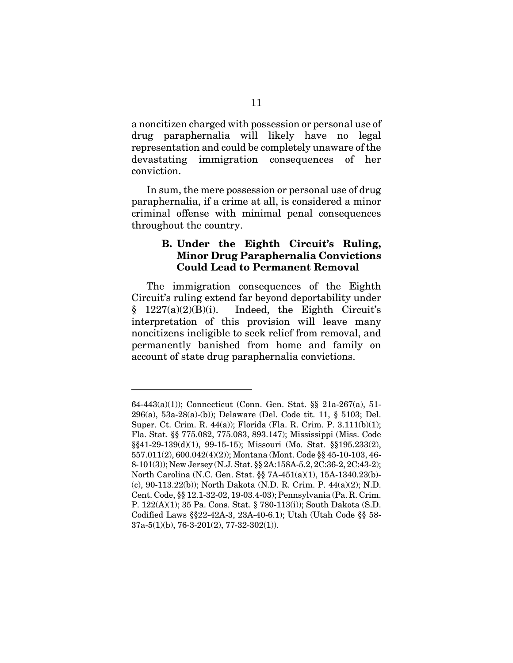a noncitizen charged with possession or personal use of drug paraphernalia will likely have no legal representation and could be completely unaware of the devastating immigration consequences of her conviction.

In sum, the mere possession or personal use of drug paraphernalia, if a crime at all, is considered a minor criminal offense with minimal penal consequences throughout the country.

### **B. Under the Eighth Circuit's Ruling, Minor Drug Paraphernalia Convictions Could Lead to Permanent Removal**

The immigration consequences of the Eighth Circuit's ruling extend far beyond deportability under  $§$  1227(a)(2)(B)(i). Indeed, the Eighth Circuit's interpretation of this provision will leave many noncitizens ineligible to seek relief from removal, and permanently banished from home and family on account of state drug paraphernalia convictions.

<sup>64-443(</sup>a)(1)); Connecticut (Conn. Gen. Stat. §§ 21a-267(a), 51- 296(a), 53a-28(a)-(b)); Delaware (Del. Code tit. 11, § 5103; Del. Super. Ct. Crim. R. 44(a)); Florida (Fla. R. Crim. P. 3.111(b)(1); Fla. Stat. §§ 775.082, 775.083, 893.147); Mississippi (Miss. Code §§41-29-139(d)(1), 99-15-15); Missouri (Mo. Stat. §§195.233(2), 557.011(2), 600.042(4)(2)); Montana (Mont. Code §§ 45-10-103, 46- 8-101(3)); New Jersey (N.J. Stat. §§ 2A:158A-5.2, 2C:36-2, 2C:43-2); North Carolina (N.C. Gen. Stat. §§ 7A-451(a)(1), 15A-1340.23(b)- (c), 90-113.22(b)); North Dakota (N.D. R. Crim. P. 44(a)(2); N.D. Cent. Code, §§ 12.1-32-02, 19-03.4-03); Pennsylvania (Pa. R. Crim. P. 122(A)(1); 35 Pa. Cons. Stat. § 780-113(i)); South Dakota (S.D. Codified Laws §§22-42A-3, 23A-40-6.1); Utah (Utah Code §§ 58- 37a-5(1)(b), 76-3-201(2), 77-32-302(1)).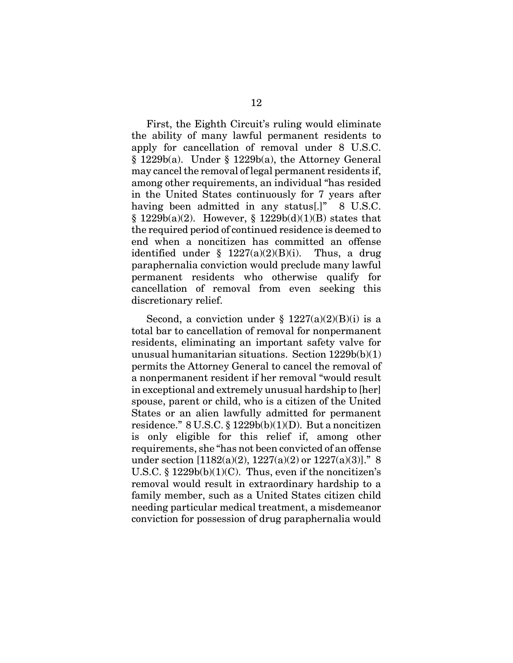First, the Eighth Circuit's ruling would eliminate the ability of many lawful permanent residents to apply for cancellation of removal under 8 U.S.C.  $§ 1229b(a)$ . Under § 1229b(a), the Attorney General may cancel the removal of legal permanent residents if, among other requirements, an individual "has resided in the United States continuously for 7 years after having been admitted in any status<sup>[1]</sup> 8 U.S.C.  $§ 1229b(a)(2)$ . However,  $§ 1229b(d)(1)(B)$  states that the required period of continued residence is deemed to end when a noncitizen has committed an offense identified under  $\frac{1227(a)(2)(B)(i)}{2}$ . Thus, a drug paraphernalia conviction would preclude many lawful permanent residents who otherwise qualify for cancellation of removal from even seeking this discretionary relief.

Second, a conviction under  $\S$  1227(a)(2)(B)(i) is a total bar to cancellation of removal for nonpermanent residents, eliminating an important safety valve for unusual humanitarian situations. Section 1229b(b)(1) permits the Attorney General to cancel the removal of a nonpermanent resident if her removal "would result in exceptional and extremely unusual hardship to [her] spouse, parent or child, who is a citizen of the United States or an alien lawfully admitted for permanent residence."  $8 \text{ U.S.C.} \$  $\frac{1229b(b)(1)(D)}{2}$ . But a noncitizen is only eligible for this relief if, among other requirements, she "has not been convicted of an offense under section  $[1182(a)(2), 1227(a)(2)$  or  $1227(a)(3)$ ]." 8 U.S.C.  $\S 1229b(b)(1)(C)$ . Thus, even if the noncitizen's removal would result in extraordinary hardship to a family member, such as a United States citizen child needing particular medical treatment, a misdemeanor conviction for possession of drug paraphernalia would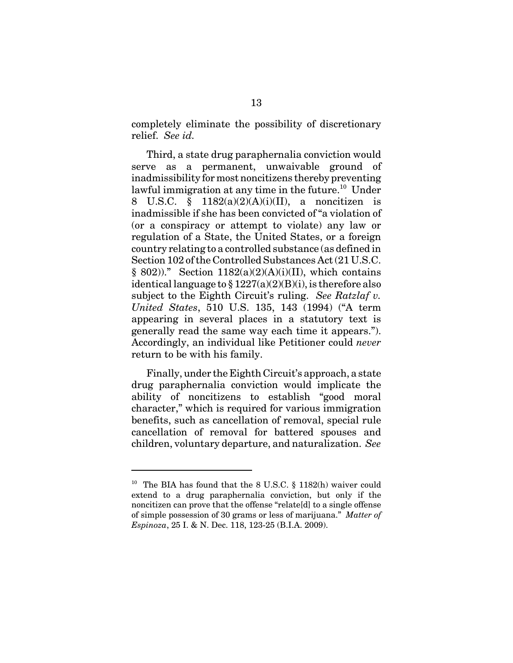completely eliminate the possibility of discretionary relief. *See id.*

Third, a state drug paraphernalia conviction would serve as a permanent, unwaivable ground of inadmissibility for most noncitizens thereby preventing lawful immigration at any time in the future.<sup>10</sup> Under 8 U.S.C. § 1182(a)(2)(A)(i)(II), a noncitizen is inadmissible if she has been convicted of "a violation of (or a conspiracy or attempt to violate) any law or regulation of a State, the United States, or a foreign country relating to a controlled substance (as defined in Section 102 of the Controlled Substances Act (21 U.S.C.  $§ 802$ ))." Section 1182(a)(2)(A)(i)(II), which contains identical language to  $\S 1227(a)(2)(B)(i)$ , is therefore also subject to the Eighth Circuit's ruling. *See Ratzlaf v. United States*, 510 U.S. 135, 143 (1994) ("A term appearing in several places in a statutory text is generally read the same way each time it appears."). Accordingly, an individual like Petitioner could *never* return to be with his family.

Finally, under the Eighth Circuit's approach, a state drug paraphernalia conviction would implicate the ability of noncitizens to establish "good moral character," which is required for various immigration benefits, such as cancellation of removal, special rule cancellation of removal for battered spouses and children, voluntary departure, and naturalization. *See*

<sup>&</sup>lt;sup>10</sup> The BIA has found that the 8 U.S.C. § 1182(h) waiver could extend to a drug paraphernalia conviction, but only if the noncitizen can prove that the offense "relate[d] to a single offense of simple possession of 30 grams or less of marijuana." *Matter of Espinoza*, 25 I. & N. Dec. 118, 123-25 (B.I.A. 2009).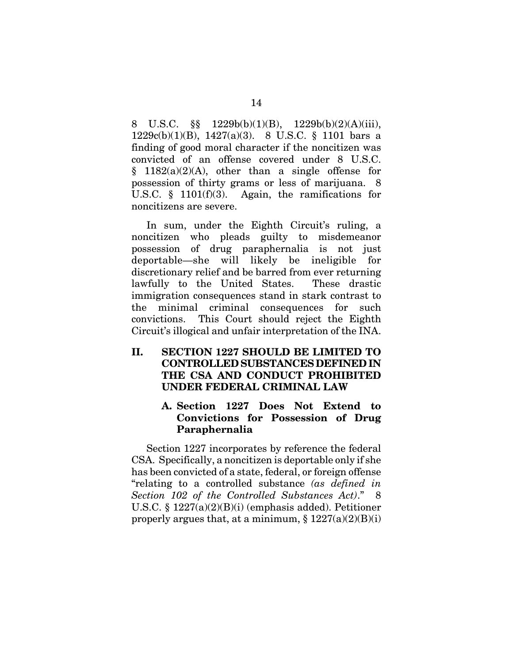8 U.S.C.  $\S\$  1229b(b)(1)(B), 1229b(b)(2)(A)(iii), 1229c(b)(1)(B), 1427(a)(3). 8 U.S.C. § 1101 bars a finding of good moral character if the noncitizen was convicted of an offense covered under 8 U.S.C.  $§$  1182(a)(2)(A), other than a single offense for possession of thirty grams or less of marijuana. 8 U.S.C. § 1101(f)(3). Again, the ramifications for noncitizens are severe.

In sum, under the Eighth Circuit's ruling, a noncitizen who pleads guilty to misdemeanor possession of drug paraphernalia is not just deportable—she will likely be ineligible for discretionary relief and be barred from ever returning lawfully to the United States. These drastic immigration consequences stand in stark contrast to the minimal criminal consequences for such convictions. This Court should reject the Eighth Circuit's illogical and unfair interpretation of the INA.

### **II. SECTION 1227 SHOULD BE LIMITED TO CONTROLLED SUBSTANCES DEFINED IN THE CSA AND CONDUCT PROHIBITED UNDER FEDERAL CRIMINAL LAW**

### **A. Section 1227 Does Not Extend to Convictions for Possession of Drug Paraphernalia**

Section 1227 incorporates by reference the federal CSA. Specifically, a noncitizen is deportable only if she has been convicted of a state, federal, or foreign offense "relating to a controlled substance *(as defined in Section 102 of the Controlled Substances Act)*." 8 U.S.C. § 1227(a)(2)(B)(i) (emphasis added). Petitioner properly argues that, at a minimum,  $\S 1227(a)(2)(B)(i)$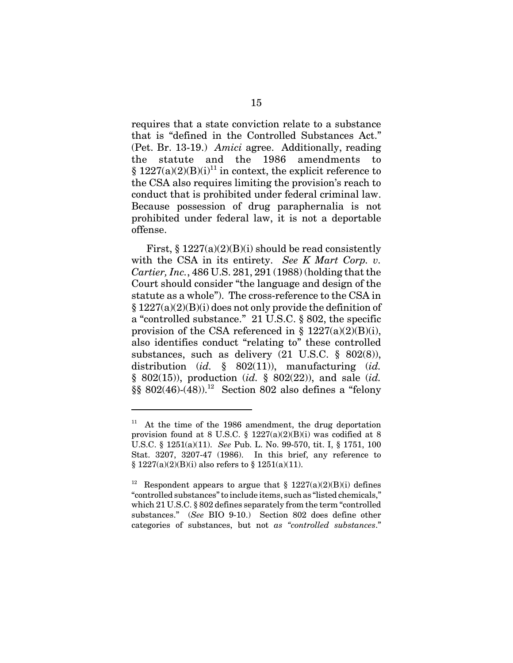requires that a state conviction relate to a substance that is "defined in the Controlled Substances Act." (Pet. Br. 13-19.) *Amici* agree. Additionally, reading the statute and the 1986 amendments to  $§ 1227(a)(2)(B)(i)<sup>11</sup>$  in context, the explicit reference to the CSA also requires limiting the provision's reach to conduct that is prohibited under federal criminal law. Because possession of drug paraphernalia is not prohibited under federal law, it is not a deportable offense.

First,  $\S 1227(a)(2)(B)(i)$  should be read consistently with the CSA in its entirety. *See K Mart Corp. v. Cartier, Inc.*, 486 U.S. 281, 291 (1988) (holding that the Court should consider "the language and design of the statute as a whole"). The cross-reference to the CSA in  $\S 1227(a)(2)(B)(i)$  does not only provide the definition of a "controlled substance." 21 U.S.C. § 802, the specific provision of the CSA referenced in  $\S 1227(a)(2)(B)(i)$ , also identifies conduct "relating to" these controlled substances, such as delivery (21 U.S.C. § 802(8)), distribution (*id.* § 802(11)), manufacturing (*id.* § 802(15)), production (*id.* § 802(22)), and sale (*id.*  $\S$ § 802(46)-(48)).<sup>12</sup> Section 802 also defines a "felony

 $11$  At the time of the 1986 amendment, the drug deportation provision found at 8 U.S.C.  $\S$  1227(a)(2)(B)(i) was codified at 8 U.S.C. § 1251(a)(11). *See* Pub. L. No. 99-570, tit. I, § 1751, 100 Stat. 3207, 3207-47 (1986). In this brief, any reference to § 1227(a)(2)(B)(i) also refers to § 1251(a)(11).

<sup>&</sup>lt;sup>12</sup> Respondent appears to argue that § 1227(a)(2)(B)(i) defines "controlled substances" to include items, such as "listed chemicals," which 21 U.S.C. § 802 defines separately from the term "controlled substances." (*See* BIO 9-10.) Section 802 does define other categories of substances, but not *as "controlled substances*."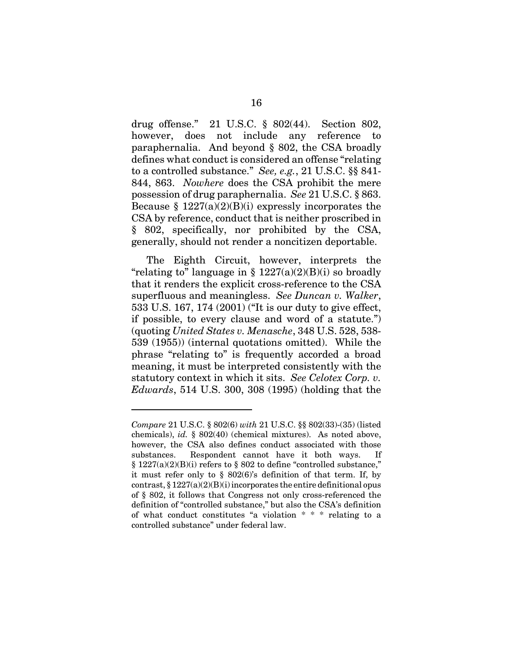drug offense." 21 U.S.C. § 802(44). Section 802, however, does not include any reference to paraphernalia. And beyond § 802, the CSA broadly defines what conduct is considered an offense "relating to a controlled substance." *See, e.g.*, 21 U.S.C. §§ 841- 844, 863. *Nowhere* does the CSA prohibit the mere possession of drug paraphernalia. *See* 21 U.S.C. § 863. Because  $\S 1227(a)(2)(B)(i)$  expressly incorporates the CSA by reference, conduct that is neither proscribed in § 802, specifically, nor prohibited by the CSA, generally, should not render a noncitizen deportable.

The Eighth Circuit, however, interprets the "relating to" language in §  $1227(a)(2)(B)(i)$  so broadly that it renders the explicit cross-reference to the CSA superfluous and meaningless. *See Duncan v. Walker*, 533 U.S. 167, 174 (2001) ("It is our duty to give effect, if possible, to every clause and word of a statute.") (quoting *United States v. Menasche*, 348 U.S. 528, 538- 539 (1955)) (internal quotations omitted). While the phrase "relating to" is frequently accorded a broad meaning, it must be interpreted consistently with the statutory context in which it sits. *See Celotex Corp. v. Edwards*, 514 U.S. 300, 308 (1995) (holding that the

*Compare* 21 U.S.C. § 802(6) *with* 21 U.S.C. §§ 802(33)-(35) (listed chemicals), *id.* § 802(40) (chemical mixtures). As noted above, however, the CSA also defines conduct associated with those substances. Respondent cannot have it both ways. If § 1227(a)(2)(B)(i) refers to § 802 to define "controlled substance," it must refer only to § 802(6)'s definition of that term. If, by contrast,  $\S 1227(a)(2)(B)(i)$  incorporates the entire definitional opus of § 802, it follows that Congress not only cross-referenced the definition of "controlled substance," but also the CSA's definition of what conduct constitutes "a violation \* \* \* relating to a controlled substance" under federal law.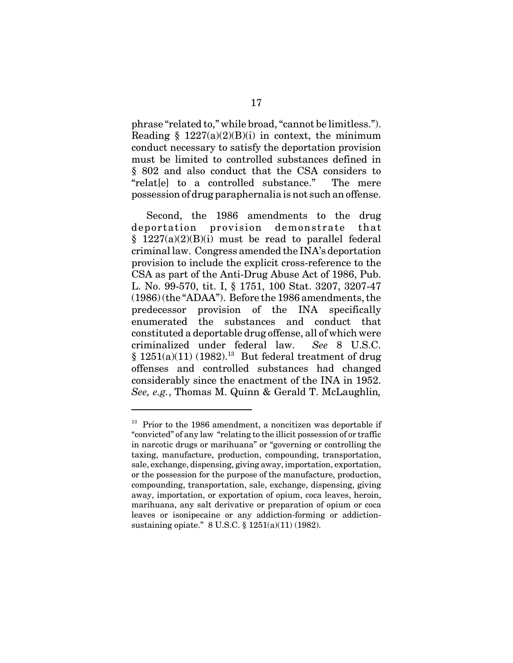phrase "related to," while broad, "cannot be limitless."). Reading  $\S$  1227(a)(2)(B)(i) in context, the minimum conduct necessary to satisfy the deportation provision must be limited to controlled substances defined in § 802 and also conduct that the CSA considers to "relat[e] to a controlled substance." The mere possession of drug paraphernalia is not such an offense.

Second, the 1986 amendments to the drug deportation provision demonstrate that  $§$  1227(a)(2)(B)(i) must be read to parallel federal criminal law. Congress amended the INA's deportation provision to include the explicit cross-reference to the CSA as part of the Anti-Drug Abuse Act of 1986, Pub. L. No. 99-570, tit. I, § 1751, 100 Stat. 3207, 3207-47 (1986) (the "ADAA"). Before the 1986 amendments, the predecessor provision of the INA specifically enumerated the substances and conduct that constituted a deportable drug offense, all of which were criminalized under federal law. *See* 8 U.S.C.  $§ 1251(a)(11) (1982).$ <sup>13</sup> But federal treatment of drug offenses and controlled substances had changed considerably since the enactment of the INA in 1952. *See, e.g.*, Thomas M. Quinn & Gerald T. McLaughlin*,*

 $13$  Prior to the 1986 amendment, a noncitizen was deportable if "convicted" of any law "relating to the illicit possession of or traffic in narcotic drugs or marihuana" or "governing or controlling the taxing, manufacture, production, compounding, transportation, sale, exchange, dispensing, giving away, importation, exportation, or the possession for the purpose of the manufacture, production, compounding, transportation, sale, exchange, dispensing, giving away, importation, or exportation of opium, coca leaves, heroin, marihuana, any salt derivative or preparation of opium or coca leaves or isonipecaine or any addiction-forming or addictionsustaining opiate." 8 U.S.C. § 1251(a)(11) (1982).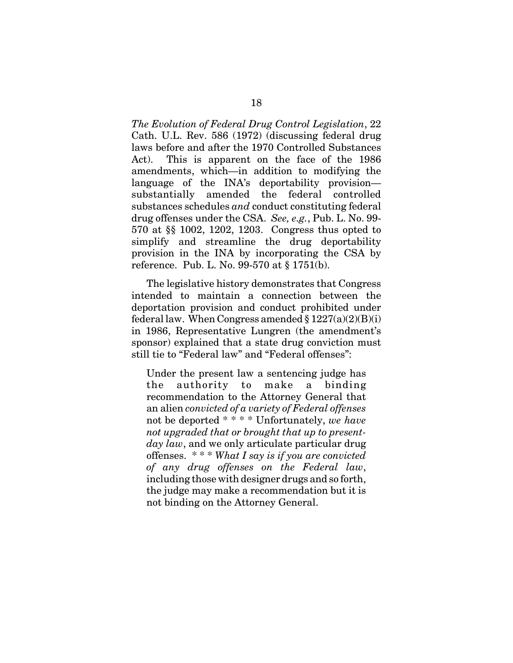*The Evolution of Federal Drug Control Legislation*, 22 Cath. U.L. Rev. 586 (1972) (discussing federal drug laws before and after the 1970 Controlled Substances Act). This is apparent on the face of the 1986 amendments, which—in addition to modifying the language of the INA's deportability provision substantially amended the federal controlled substances schedules *and* conduct constituting federal drug offenses under the CSA. *See, e.g.*, Pub. L. No. 99- 570 at §§ 1002, 1202, 1203. Congress thus opted to simplify and streamline the drug deportability provision in the INA by incorporating the CSA by reference. Pub. L. No. 99-570 at § 1751(b).

The legislative history demonstrates that Congress intended to maintain a connection between the deportation provision and conduct prohibited under federal law. When Congress amended  $\S 1227(a)(2)(B)(i)$ in 1986, Representative Lungren (the amendment's sponsor) explained that a state drug conviction must still tie to "Federal law" and "Federal offenses":

Under the present law a sentencing judge has the authority to make a binding recommendation to the Attorney General that an alien *convicted of a variety of Federal offenses* not be deported \* \* \* \* Unfortunately, *we have not upgraded that or brought that up to presentday law*, and we only articulate particular drug offenses. \* \* \* *What I say is if you are convicted of any drug offenses on the Federal law*, including those with designer drugs and so forth, the judge may make a recommendation but it is not binding on the Attorney General.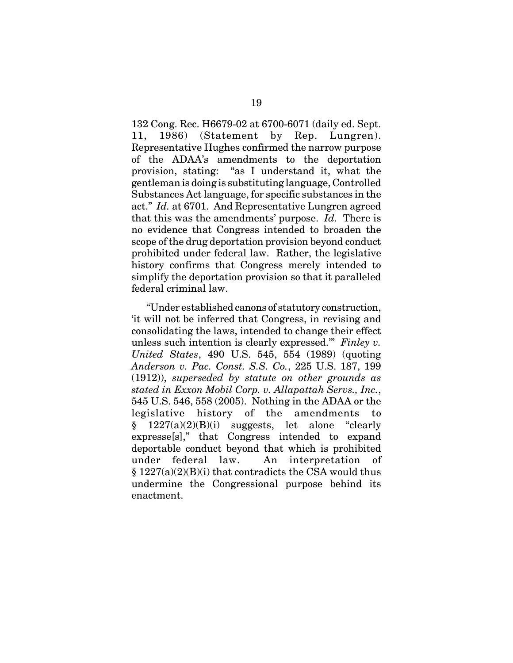132 Cong. Rec. H6679-02 at 6700-6071 (daily ed. Sept. 11, 1986) (Statement by Rep. Lungren). Representative Hughes confirmed the narrow purpose of the ADAA's amendments to the deportation provision, stating: "as I understand it, what the gentleman is doing is substituting language, Controlled Substances Act language, for specific substances in the act." *Id.* at 6701. And Representative Lungren agreed that this was the amendments' purpose. *Id.* There is no evidence that Congress intended to broaden the scope of the drug deportation provision beyond conduct prohibited under federal law. Rather, the legislative history confirms that Congress merely intended to simplify the deportation provision so that it paralleled federal criminal law.

"Under established canons of statutory construction, 'it will not be inferred that Congress, in revising and consolidating the laws, intended to change their effect unless such intention is clearly expressed.'" *Finley v. United States*, 490 U.S. 545, 554 (1989) (quoting *Anderson v. Pac. Const. S.S. Co.*, 225 U.S. 187, 199 (1912)), *superseded by statute on other grounds as stated in Exxon Mobil Corp. v. Allapattah Servs., Inc.*, 545 U.S. 546, 558 (2005). Nothing in the ADAA or the legislative history of the amendments to  $\S$  1227(a)(2)(B)(i) suggests, let alone "clearly expresse[s]," that Congress intended to expand deportable conduct beyond that which is prohibited under federal law. An interpretation of  $§ 1227(a)(2)(B)(i)$  that contradicts the CSA would thus undermine the Congressional purpose behind its enactment.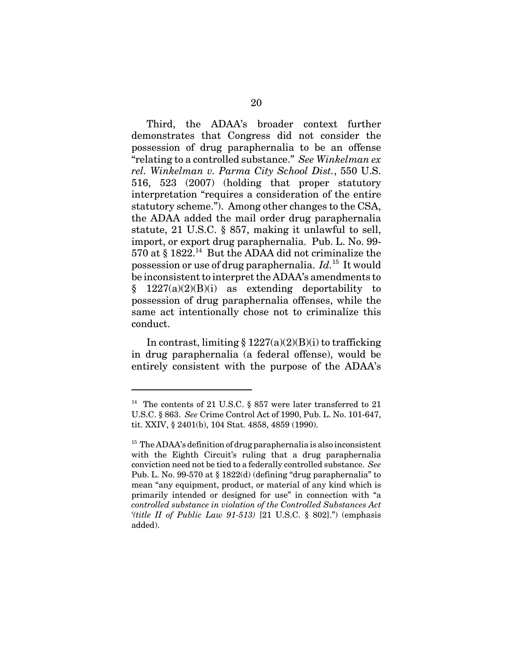Third, the ADAA's broader context further demonstrates that Congress did not consider the possession of drug paraphernalia to be an offense "relating to a controlled substance." *See Winkelman ex rel. Winkelman v. Parma City School Dist.*, 550 U.S. 516, 523 (2007) (holding that proper statutory interpretation "requires a consideration of the entire statutory scheme."). Among other changes to the CSA, the ADAA added the mail order drug paraphernalia statute, 21 U.S.C. § 857, making it unlawful to sell, import, or export drug paraphernalia. Pub. L. No. 99- 570 at  $\S 1822$ .<sup>14</sup> But the ADAA did not criminalize the possession or use of drug paraphernalia. *Id.*15 It would be inconsistent to interpret the ADAA's amendments to  $\S$  1227(a)(2)(B)(i) as extending deportability to possession of drug paraphernalia offenses, while the same act intentionally chose not to criminalize this conduct.

In contrast, limiting  $\S 1227(a)(2)(B)(i)$  to trafficking in drug paraphernalia (a federal offense), would be entirely consistent with the purpose of the ADAA's

 $14$  The contents of 21 U.S.C. § 857 were later transferred to 21 U.S.C. § 863. *See* Crime Control Act of 1990, Pub. L. No. 101-647, tit. XXIV, § 2401(b), 104 Stat. 4858, 4859 (1990).

 $15$  The ADAA's definition of drug paraphernalia is also inconsistent with the Eighth Circuit's ruling that a drug paraphernalia conviction need not be tied to a federally controlled substance. *See* Pub. L. No. 99-570 at § 1822(d) (defining "drug paraphernalia" to mean "any equipment, product, or material of any kind which is primarily intended or designed for use" in connection with "a *controlled substance in violation of the Controlled Substances Act '(title II of Public Law 91-513)* [21 U.S.C. § 802].") (emphasis added).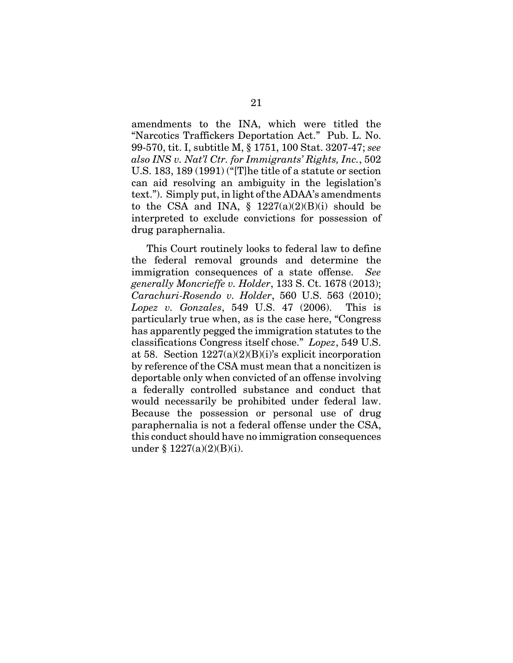amendments to the INA, which were titled the "Narcotics Traffickers Deportation Act." Pub. L. No. 99-570, tit. I, subtitle M, § 1751, 100 Stat. 3207-47; *see also INS v. Nat'l Ctr. for Immigrants' Rights, Inc.*, 502 U.S. 183, 189 (1991) ("[T]he title of a statute or section can aid resolving an ambiguity in the legislation's text."). Simply put, in light of the ADAA's amendments to the CSA and INA,  $\S$  1227(a)(2)(B)(i) should be interpreted to exclude convictions for possession of drug paraphernalia.

This Court routinely looks to federal law to define the federal removal grounds and determine the immigration consequences of a state offense. *See generally Moncrieffe v. Holder*, 133 S. Ct. 1678 (2013); *Carachuri-Rosendo v. Holder*, 560 U.S. 563 (2010); *Lopez v. Gonzales*, 549 U.S. 47 (2006). This is particularly true when, as is the case here, "Congress has apparently pegged the immigration statutes to the classifications Congress itself chose." *Lopez*, 549 U.S. at 58. Section  $1227(a)(2)(B)(i)$ 's explicit incorporation by reference of the CSA must mean that a noncitizen is deportable only when convicted of an offense involving a federally controlled substance and conduct that would necessarily be prohibited under federal law. Because the possession or personal use of drug paraphernalia is not a federal offense under the CSA, this conduct should have no immigration consequences under  $§ 1227(a)(2)(B)(i).$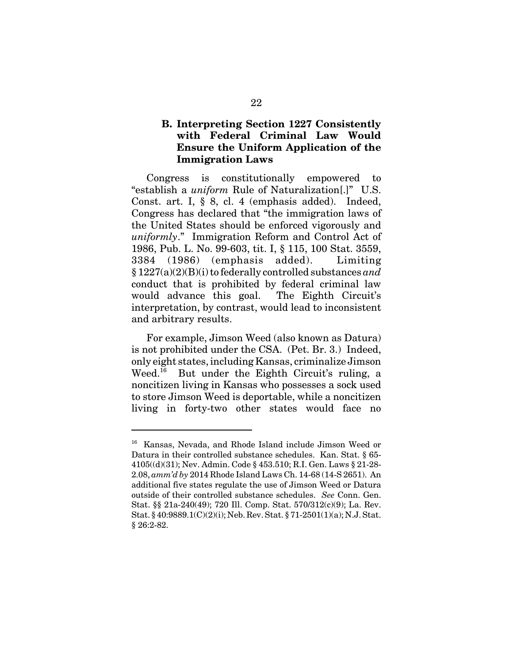#### **B. Interpreting Section 1227 Consistently with Federal Criminal Law Would Ensure the Uniform Application of the Immigration Laws**

Congress is constitutionally empowered to "establish a *uniform* Rule of Naturalization[.]" U.S. Const. art. I, § 8, cl. 4 (emphasis added). Indeed, Congress has declared that "the immigration laws of the United States should be enforced vigorously and *uniformly*." Immigration Reform and Control Act of 1986, Pub. L. No. 99-603, tit. I, § 115, 100 Stat. 3559, 3384 (1986) (emphasis added). Limiting § 1227(a)(2)(B)(i) to federally controlled substances *and* conduct that is prohibited by federal criminal law would advance this goal. The Eighth Circuit's interpretation, by contrast, would lead to inconsistent and arbitrary results.

For example, Jimson Weed (also known as Datura) is not prohibited under the CSA. (Pet. Br. 3.) Indeed, only eight states, including Kansas, criminalize Jimson Weed.<sup>16</sup> But under the Eighth Circuit's ruling, a noncitizen living in Kansas who possesses a sock used to store Jimson Weed is deportable, while a noncitizen living in forty-two other states would face no

<sup>16</sup> Kansas, Nevada, and Rhode Island include Jimson Weed or Datura in their controlled substance schedules. Kan. Stat. § 65- 4105((d)(31); Nev. Admin. Code § 453.510; R.I. Gen. Laws § 21-28- 2.08, *amm'd by* 2014 Rhode Island Laws Ch. 14-68 (14-S 2651). An additional five states regulate the use of Jimson Weed or Datura outside of their controlled substance schedules. *See* Conn. Gen. Stat. §§ 21a-240(49); 720 Ill. Comp. Stat. 570/312(c)(9); La. Rev. Stat. § 40:9889.1(C)(2)(i); Neb. Rev. Stat. § 71-2501(1)(a); N.J. Stat. § 26:2-82.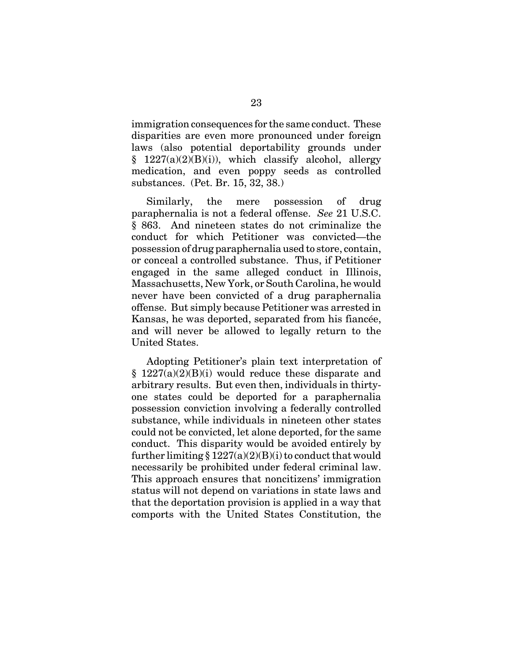immigration consequences for the same conduct. These disparities are even more pronounced under foreign laws (also potential deportability grounds under  $§$  1227(a)(2)(B)(i)), which classify alcohol, allergy medication, and even poppy seeds as controlled substances. (Pet. Br. 15, 32, 38.)

Similarly, the mere possession of drug paraphernalia is not a federal offense. *See* 21 U.S.C. § 863. And nineteen states do not criminalize the conduct for which Petitioner was convicted—the possession of drug paraphernalia used to store, contain, or conceal a controlled substance. Thus, if Petitioner engaged in the same alleged conduct in Illinois, Massachusetts, New York, or South Carolina, he would never have been convicted of a drug paraphernalia offense. But simply because Petitioner was arrested in Kansas, he was deported, separated from his fiancée, and will never be allowed to legally return to the United States.

Adopting Petitioner's plain text interpretation of  $§$  1227(a)(2)(B)(i) would reduce these disparate and arbitrary results. But even then, individuals in thirtyone states could be deported for a paraphernalia possession conviction involving a federally controlled substance, while individuals in nineteen other states could not be convicted, let alone deported, for the same conduct. This disparity would be avoided entirely by further limiting  $\S 1227(a)(2)(B)(i)$  to conduct that would necessarily be prohibited under federal criminal law. This approach ensures that noncitizens' immigration status will not depend on variations in state laws and that the deportation provision is applied in a way that comports with the United States Constitution, the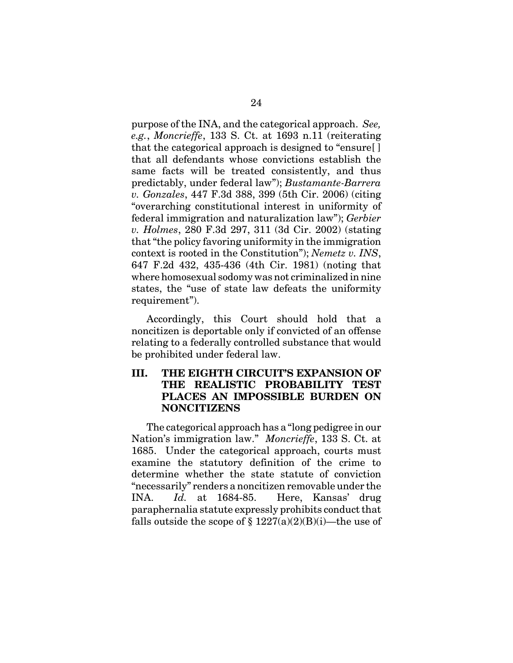purpose of the INA, and the categorical approach. *See, e.g.*, *Moncrieffe*, 133 S. Ct. at 1693 n.11 (reiterating that the categorical approach is designed to "ensure[ ] that all defendants whose convictions establish the same facts will be treated consistently, and thus predictably, under federal law"); *Bustamante-Barrera v. Gonzales*, 447 F.3d 388, 399 (5th Cir. 2006) (citing "overarching constitutional interest in uniformity of federal immigration and naturalization law"); *Gerbier v. Holmes*, 280 F.3d 297, 311 (3d Cir. 2002) (stating that "the policy favoring uniformity in the immigration context is rooted in the Constitution"); *Nemetz v. INS*, 647 F.2d 432, 435-436 (4th Cir. 1981) (noting that where homosexual sodomy was not criminalized in nine states, the "use of state law defeats the uniformity requirement").

Accordingly, this Court should hold that a noncitizen is deportable only if convicted of an offense relating to a federally controlled substance that would be prohibited under federal law.

#### **III. THE EIGHTH CIRCUIT'S EXPANSION OF THE REALISTIC PROBABILITY TEST PLACES AN IMPOSSIBLE BURDEN ON NONCITIZENS**

The categorical approach has a "long pedigree in our Nation's immigration law." *Moncrieffe*, 133 S. Ct. at 1685. Under the categorical approach, courts must examine the statutory definition of the crime to determine whether the state statute of conviction "necessarily" renders a noncitizen removable under the INA. *Id.* at 1684-85. Here, Kansas' drug paraphernalia statute expressly prohibits conduct that falls outside the scope of  $\S 1227(a)(2)(B)(i)$ —the use of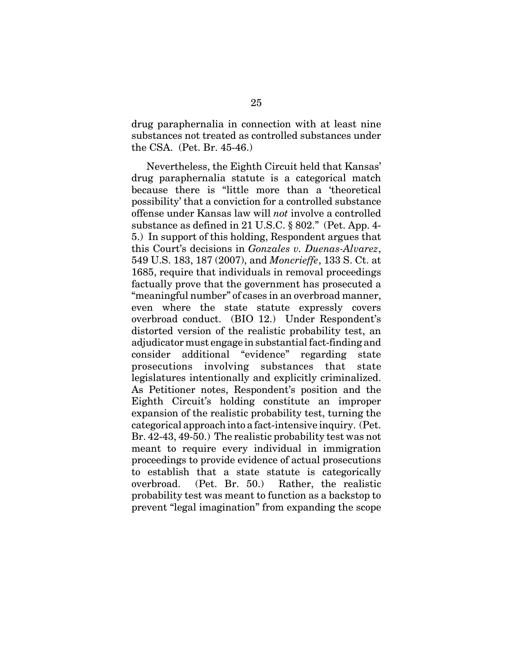drug paraphernalia in connection with at least nine substances not treated as controlled substances under the CSA. (Pet. Br. 45-46.)

Nevertheless, the Eighth Circuit held that Kansas' drug paraphernalia statute is a categorical match because there is "little more than a 'theoretical possibility' that a conviction for a controlled substance offense under Kansas law will *not* involve a controlled substance as defined in 21 U.S.C. § 802." (Pet. App. 4- 5.) In support of this holding, Respondent argues that this Court's decisions in *Gonzales v. Duenas-Alvarez*, 549 U.S. 183, 187 (2007), and *Moncrieffe*, 133 S. Ct. at 1685, require that individuals in removal proceedings factually prove that the government has prosecuted a "meaningful number" of cases in an overbroad manner, even where the state statute expressly covers overbroad conduct. (BIO 12.) Under Respondent's distorted version of the realistic probability test, an adjudicator must engage in substantial fact-finding and consider additional "evidence" regarding state prosecutions involving substances that state legislatures intentionally and explicitly criminalized. As Petitioner notes, Respondent's position and the Eighth Circuit's holding constitute an improper expansion of the realistic probability test, turning the categorical approach into a fact-intensive inquiry. (Pet. Br. 42-43, 49-50.) The realistic probability test was not meant to require every individual in immigration proceedings to provide evidence of actual prosecutions to establish that a state statute is categorically overbroad. (Pet. Br. 50.) Rather, the realistic probability test was meant to function as a backstop to prevent "legal imagination" from expanding the scope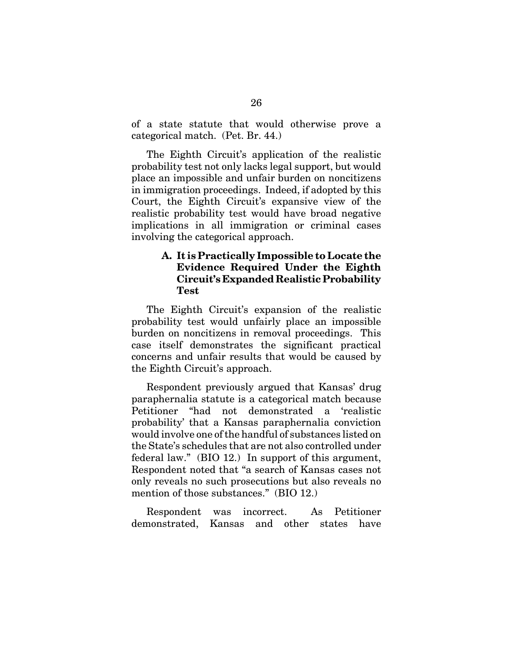of a state statute that would otherwise prove a categorical match. (Pet. Br. 44.)

The Eighth Circuit's application of the realistic probability test not only lacks legal support, but would place an impossible and unfair burden on noncitizens in immigration proceedings. Indeed, if adopted by this Court, the Eighth Circuit's expansive view of the realistic probability test would have broad negative implications in all immigration or criminal cases involving the categorical approach.

#### **A. It is Practically Impossible to Locate the Evidence Required Under the Eighth Circuit's Expanded Realistic Probability Test**

The Eighth Circuit's expansion of the realistic probability test would unfairly place an impossible burden on noncitizens in removal proceedings. This case itself demonstrates the significant practical concerns and unfair results that would be caused by the Eighth Circuit's approach.

Respondent previously argued that Kansas' drug paraphernalia statute is a categorical match because Petitioner "had not demonstrated a 'realistic probability' that a Kansas paraphernalia conviction would involve one of the handful of substances listed on the State's schedules that are not also controlled under federal law." (BIO 12.) In support of this argument, Respondent noted that "a search of Kansas cases not only reveals no such prosecutions but also reveals no mention of those substances." (BIO 12.)

Respondent was incorrect. As Petitioner demonstrated, Kansas and other states have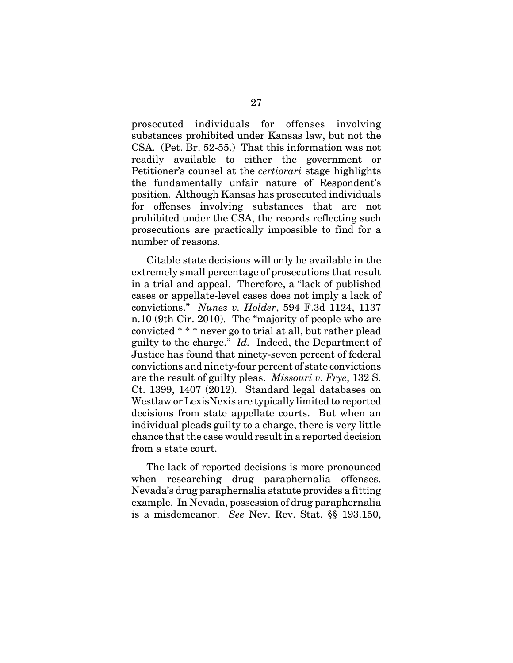prosecuted individuals for offenses involving substances prohibited under Kansas law, but not the CSA. (Pet. Br. 52-55.) That this information was not readily available to either the government or Petitioner's counsel at the *certiorari* stage highlights the fundamentally unfair nature of Respondent's position. Although Kansas has prosecuted individuals for offenses involving substances that are not prohibited under the CSA, the records reflecting such prosecutions are practically impossible to find for a number of reasons.

Citable state decisions will only be available in the extremely small percentage of prosecutions that result in a trial and appeal. Therefore, a "lack of published cases or appellate-level cases does not imply a lack of convictions." *Nunez v. Holder*, 594 F.3d 1124, 1137 n.10 (9th Cir. 2010). The "majority of people who are convicted \* \* \* never go to trial at all, but rather plead guilty to the charge." *Id.* Indeed, the Department of Justice has found that ninety-seven percent of federal convictions and ninety-four percent of state convictions are the result of guilty pleas. *Missouri v. Frye*, 132 S. Ct. 1399, 1407 (2012). Standard legal databases on Westlaw or LexisNexis are typically limited to reported decisions from state appellate courts. But when an individual pleads guilty to a charge, there is very little chance that the case would result in a reported decision from a state court.

The lack of reported decisions is more pronounced when researching drug paraphernalia offenses. Nevada's drug paraphernalia statute provides a fitting example. In Nevada, possession of drug paraphernalia is a misdemeanor. *See* Nev. Rev. Stat. §§ 193.150,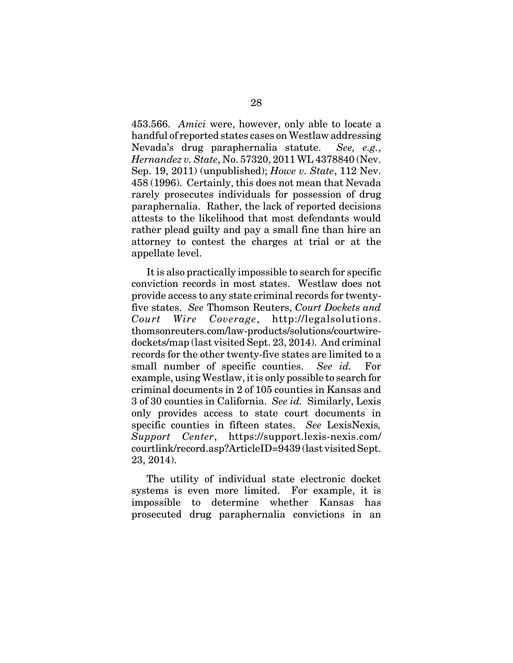453.566. *Amici* were, however, only able to locate a handful of reported states cases on Westlaw addressing Nevada's drug paraphernalia statute. *See, e.g.*, *Hernandez v. State*, No. 57320, 2011 WL 4378840 (Nev. Sep. 19, 2011) (unpublished); *Howe v. State*, 112 Nev. 458 (1996). Certainly, this does not mean that Nevada rarely prosecutes individuals for possession of drug paraphernalia. Rather, the lack of reported decisions attests to the likelihood that most defendants would rather plead guilty and pay a small fine than hire an attorney to contest the charges at trial or at the appellate level.

It is also practically impossible to search for specific conviction records in most states. Westlaw does not provide access to any state criminal records for twentyfive states. *See* Thomson Reuters, *Court Dockets and Court Wire Coverage*, http://legalsolutions. thomsonreuters.com/law-products/solutions/courtwiredockets/map (last visited Sept. 23, 2014). And criminal records for the other twenty-five states are limited to a small number of specific counties. *See id.* For example, using Westlaw, it is only possible to search for criminal documents in 2 of 105 counties in Kansas and 3 of 30 counties in California. *See id.* Similarly, Lexis only provides access to state court documents in specific counties in fifteen states. *See* LexisNexis*, Support Center*, https://support.lexis-nexis.com/ courtlink/record.asp?ArticleID=9439 (last visited Sept. 23, 2014).

The utility of individual state electronic docket systems is even more limited. For example, it is impossible to determine whether Kansas has prosecuted drug paraphernalia convictions in an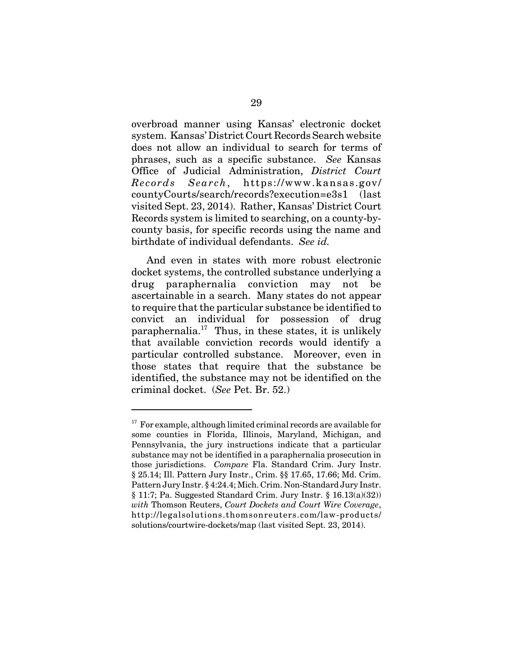overbroad manner using Kansas' electronic docket system. Kansas' District Court Records Search website does not allow an individual to search for terms of phrases, such as a specific substance. *See* Kansas Office of Judicial Administration, *District Court Records Search*, https://www.kansas.gov/ countyCourts/search/records?execution=e3s1 (last visited Sept. 23, 2014). Rather, Kansas' District Court Records system is limited to searching, on a county-bycounty basis, for specific records using the name and birthdate of individual defendants. *See id.*

And even in states with more robust electronic docket systems, the controlled substance underlying a drug paraphernalia conviction may not be ascertainable in a search. Many states do not appear to require that the particular substance be identified to convict an individual for possession of drug paraphernalia.<sup>17</sup> Thus, in these states, it is unlikely that available conviction records would identify a particular controlled substance. Moreover, even in those states that require that the substance be identified, the substance may not be identified on the criminal docket. (*See* Pet. Br. 52.)

 $17$  For example, although limited criminal records are available for some counties in Florida, Illinois, Maryland, Michigan, and Pennsylvania, the jury instructions indicate that a particular substance may not be identified in a paraphernalia prosecution in those jurisdictions. *Compare* Fla. Standard Crim. Jury Instr. § 25.14; Ill. Pattern Jury Instr., Crim. §§ 17.65, 17.66; Md. Crim. Pattern Jury Instr. § 4:24.4; Mich. Crim. Non-Standard Jury Instr.  $§ 11:7;$  Pa. Suggested Standard Crim. Jury Instr.  $§ 16.13(a)(32))$ *with* Thomson Reuters, *Court Dockets and Court Wire Coverage*, http://legalsolutions.thomsonreuters.com/law-products/ solutions/courtwire-dockets/map (last visited Sept. 23, 2014).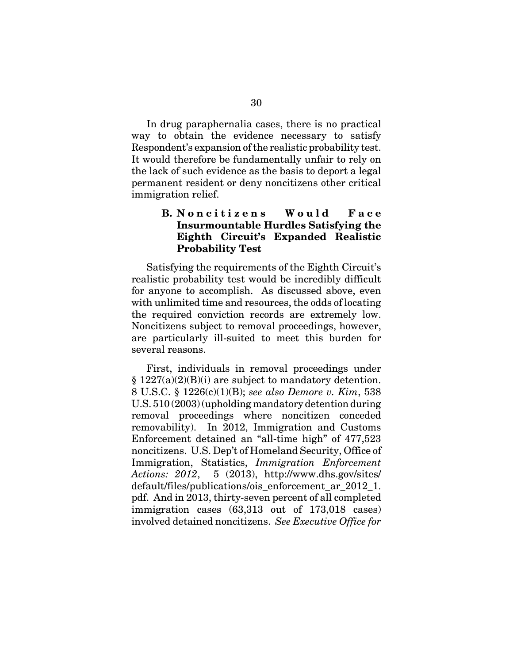In drug paraphernalia cases, there is no practical way to obtain the evidence necessary to satisfy Respondent's expansion of the realistic probability test. It would therefore be fundamentally unfair to rely on the lack of such evidence as the basis to deport a legal permanent resident or deny noncitizens other critical immigration relief.

### **B. Noncitizens** Would Face **Insurmountable Hurdles Satisfying the Eighth Circuit's Expanded Realistic Probability Test**

Satisfying the requirements of the Eighth Circuit's realistic probability test would be incredibly difficult for anyone to accomplish. As discussed above, even with unlimited time and resources, the odds of locating the required conviction records are extremely low. Noncitizens subject to removal proceedings, however, are particularly ill-suited to meet this burden for several reasons.

First, individuals in removal proceedings under  $§ 1227(a)(2)(B)(i)$  are subject to mandatory detention. 8 U.S.C. § 1226(c)(1)(B); *see also Demore v. Kim*, 538 U.S. 510 (2003) (upholding mandatory detention during removal proceedings where noncitizen conceded removability). In 2012, Immigration and Customs Enforcement detained an "all-time high" of 477,523 noncitizens. U.S. Dep't of Homeland Security, Office of Immigration, Statistics, *Immigration Enforcement Actions: 2012*, 5 (2013), http://www.dhs.gov/sites/ default/files/publications/ois\_enforcement\_ar\_2012\_1. pdf. And in 2013, thirty-seven percent of all completed immigration cases (63,313 out of 173,018 cases) involved detained noncitizens. *See Executive Office for*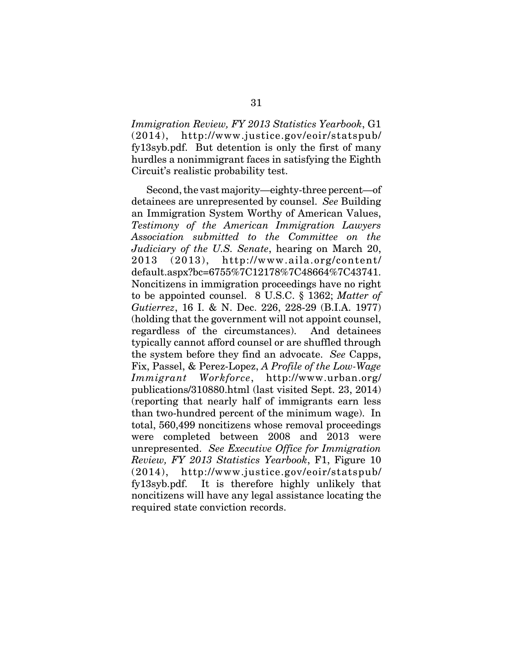*Immigration Review, FY 2013 Statistics Yearbook*, G1 (2014), http://www.justice.gov/eoir/statspub/ fy13syb.pdf. But detention is only the first of many hurdles a nonimmigrant faces in satisfying the Eighth Circuit's realistic probability test.

Second, the vast majority—eighty-three percent—of detainees are unrepresented by counsel. *See* Building an Immigration System Worthy of American Values, *Testimony of the American Immigration Lawyers Association submitted to the Committee on the Judiciary of the U.S. Senate*, hearing on March 20, 2013 (2013), http://www.aila.org/content/ default.aspx?bc=6755%7C12178%7C48664%7C43741. Noncitizens in immigration proceedings have no right to be appointed counsel. 8 U.S.C. § 1362; *Matter of Gutierrez*, 16 I. & N. Dec. 226, 228-29 (B.I.A. 1977) (holding that the government will not appoint counsel, regardless of the circumstances). And detainees typically cannot afford counsel or are shuffled through the system before they find an advocate. *See* Capps, Fix, Passel, & Perez-Lopez, *A Profile of the Low-Wage Immigrant Workforce*, http://www.urban.org/ publications/310880.html (last visited Sept. 23, 2014) (reporting that nearly half of immigrants earn less than two-hundred percent of the minimum wage). In total, 560,499 noncitizens whose removal proceedings were completed between 2008 and 2013 were unrepresented. *See Executive Office for Immigration Review, FY 2013 Statistics Yearbook*, F1, Figure 10 (2014), http://www.justice.gov/eoir/statspub/ fy13syb.pdf. It is therefore highly unlikely that noncitizens will have any legal assistance locating the required state conviction records.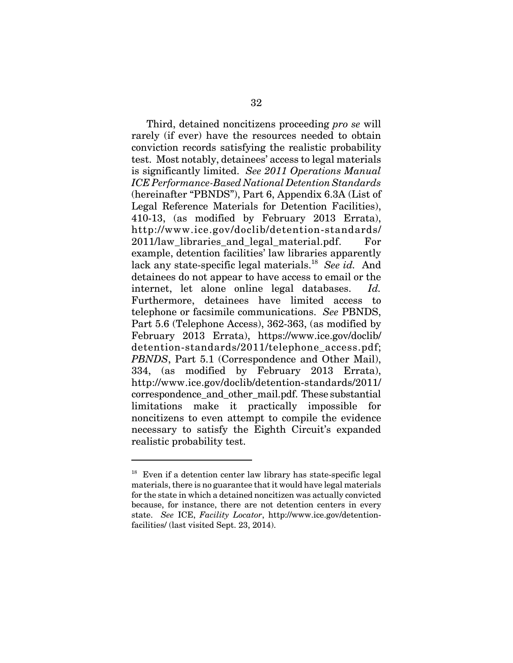Third, detained noncitizens proceeding *pro se* will rarely (if ever) have the resources needed to obtain conviction records satisfying the realistic probability test. Most notably, detainees' access to legal materials is significantly limited. *See 2011 Operations Manual ICE Performance-Based National Detention Standards* (hereinafter "PBNDS"), Part 6, Appendix 6.3A (List of Legal Reference Materials for Detention Facilities), 410-13, (as modified by February 2013 Errata), http://www.ice.gov/doclib/detention-standards/ 2011/law libraries and legal material.pdf. For example, detention facilities' law libraries apparently lack any state-specific legal materials.18 *See id.* And detainees do not appear to have access to email or the internet, let alone online legal databases. *Id.* Furthermore, detainees have limited access to telephone or facsimile communications. *See* PBNDS, Part 5.6 (Telephone Access), 362-363, (as modified by February 2013 Errata), https://www.ice.gov/doclib/ detention-standards/2011/telephone\_access.pdf; *PBNDS*, Part 5.1 (Correspondence and Other Mail), 334, (as modified by February 2013 Errata), http://www.ice.gov/doclib/detention-standards/2011/ correspondence\_and\_other\_mail.pdf. These substantial limitations make it practically impossible for noncitizens to even attempt to compile the evidence necessary to satisfy the Eighth Circuit's expanded realistic probability test.

 $18$  Even if a detention center law library has state-specific legal materials, there is no guarantee that it would have legal materials for the state in which a detained noncitizen was actually convicted because, for instance, there are not detention centers in every state. *See* ICE, *Facility Locator*, http://www.ice.gov/detentionfacilities/ (last visited Sept. 23, 2014).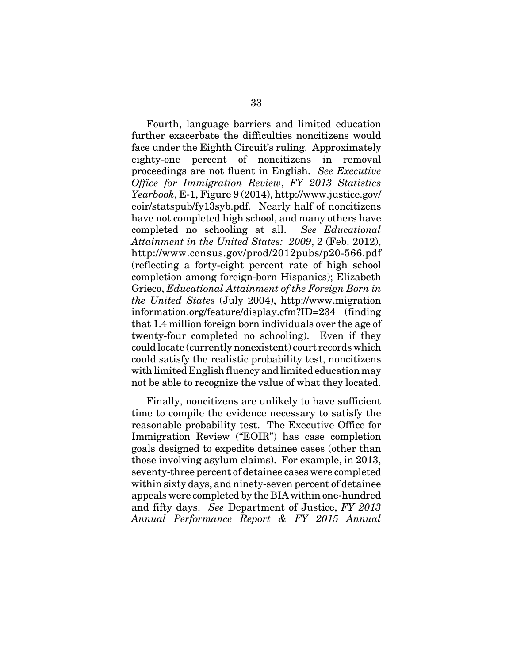Fourth, language barriers and limited education further exacerbate the difficulties noncitizens would face under the Eighth Circuit's ruling. Approximately eighty-one percent of noncitizens in removal proceedings are not fluent in English. *See Executive Office for Immigration Review*, *FY 2013 Statistics Yearbook*, E-1, Figure 9 (2014), http://www.justice.gov/ eoir/statspub/fy13syb.pdf. Nearly half of noncitizens have not completed high school, and many others have completed no schooling at all. *See Educational Attainment in the United States: 2009*, 2 (Feb. 2012), http://www.census.gov/prod/2012pubs/p20-566.pdf (reflecting a forty-eight percent rate of high school completion among foreign-born Hispanics); Elizabeth Grieco, *Educational Attainment of the Foreign Born in the United States* (July 2004), http://www.migration information.org/feature/display.cfm?ID=234 (finding that 1.4 million foreign born individuals over the age of twenty-four completed no schooling). Even if they could locate (currently nonexistent) court records which could satisfy the realistic probability test, noncitizens with limited English fluency and limited education may not be able to recognize the value of what they located.

Finally, noncitizens are unlikely to have sufficient time to compile the evidence necessary to satisfy the reasonable probability test. The Executive Office for Immigration Review ("EOIR") has case completion goals designed to expedite detainee cases (other than those involving asylum claims). For example, in 2013, seventy-three percent of detainee cases were completed within sixty days, and ninety-seven percent of detainee appeals were completed by the BIA within one-hundred and fifty days. *See* Department of Justice, *FY 2013 Annual Performance Report & FY 2015 Annual*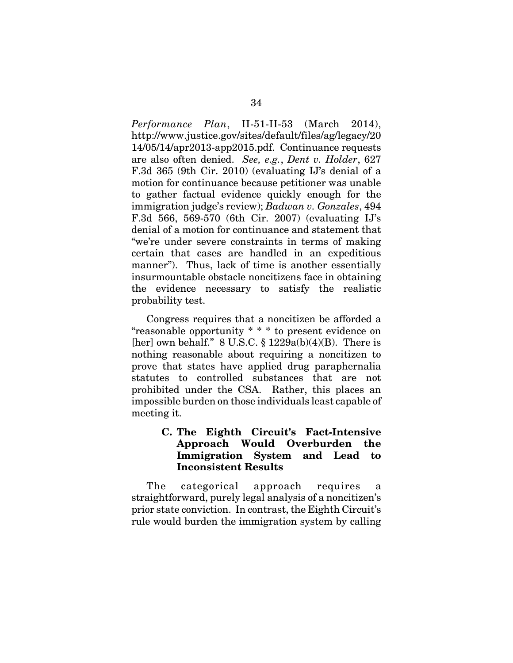*Performance Plan*, II-51-II-53 (March 2014), http://www.justice.gov/sites/default/files/ag/legacy/20 14/05/14/apr2013-app2015.pdf. Continuance requests are also often denied. *See, e.g.*, *Dent v. Holder*, 627 F.3d 365 (9th Cir. 2010) (evaluating IJ's denial of a motion for continuance because petitioner was unable to gather factual evidence quickly enough for the immigration judge's review); *Badwan v. Gonzales*, 494 F.3d 566, 569-570 (6th Cir. 2007) (evaluating IJ's denial of a motion for continuance and statement that "we're under severe constraints in terms of making certain that cases are handled in an expeditious manner"). Thus, lack of time is another essentially insurmountable obstacle noncitizens face in obtaining the evidence necessary to satisfy the realistic probability test.

Congress requires that a noncitizen be afforded a "reasonable opportunity \* \* \* to present evidence on [her] own behalf."  $8 \text{ U.S.C.} \$   $1229a(b)(4)(B)$ . There is nothing reasonable about requiring a noncitizen to prove that states have applied drug paraphernalia statutes to controlled substances that are not prohibited under the CSA. Rather, this places an impossible burden on those individuals least capable of meeting it.

### **C. The Eighth Circuit's Fact-Intensive Approach Would Overburden the Immigration System and Lead to Inconsistent Results**

The categorical approach requires a straightforward, purely legal analysis of a noncitizen's prior state conviction. In contrast, the Eighth Circuit's rule would burden the immigration system by calling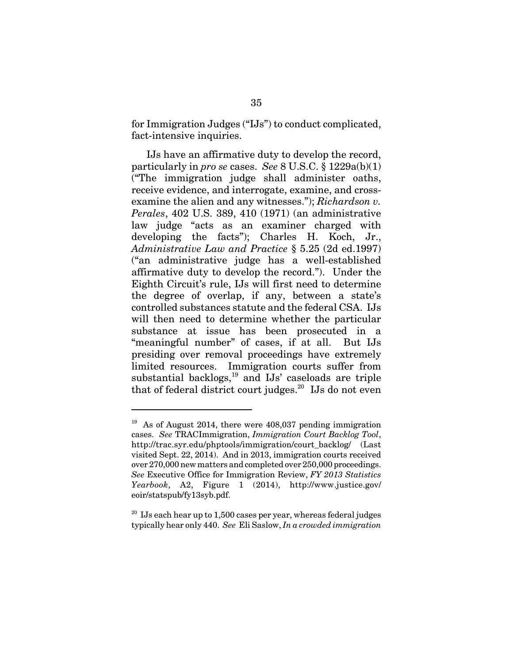for Immigration Judges ("IJs") to conduct complicated, fact-intensive inquiries.

IJs have an affirmative duty to develop the record, particularly in *pro se* cases. *See* 8 U.S.C. § 1229a(b)(1) ("The immigration judge shall administer oaths, receive evidence, and interrogate, examine, and crossexamine the alien and any witnesses."); *Richardson v. Perales*, 402 U.S. 389, 410 (1971) (an administrative law judge "acts as an examiner charged with developing the facts"); Charles H. Koch, Jr., *Administrative Law and Practice* § 5.25 (2d ed.1997) ("an administrative judge has a well-established affirmative duty to develop the record."). Under the Eighth Circuit's rule, IJs will first need to determine the degree of overlap, if any, between a state's controlled substances statute and the federal CSA. IJs will then need to determine whether the particular substance at issue has been prosecuted in a "meaningful number" of cases, if at all. But IJs presiding over removal proceedings have extremely limited resources. Immigration courts suffer from substantial backlogs, $19$  and IJs' caseloads are triple that of federal district court judges.<sup>20</sup> IJs do not even

 $19$  As of August 2014, there were 408,037 pending immigration cases. *See* TRACImmigration, *Immigration Court Backlog Tool*, http://trac.syr.edu/phptools/immigration/court\_backlog/ (Last visited Sept. 22, 2014). And in 2013, immigration courts received over 270,000 new matters and completed over 250,000 proceedings. *See* Executive Office for Immigration Review, *FY 2013 Statistics Yearbook*, A2, Figure 1 (2014), http://www.justice.gov/ eoir/statspub/fy13syb.pdf.

<sup>&</sup>lt;sup>20</sup> IJs each hear up to 1,500 cases per year, whereas federal judges typically hear only 440. *See* Eli Saslow, *In a crowded immigration*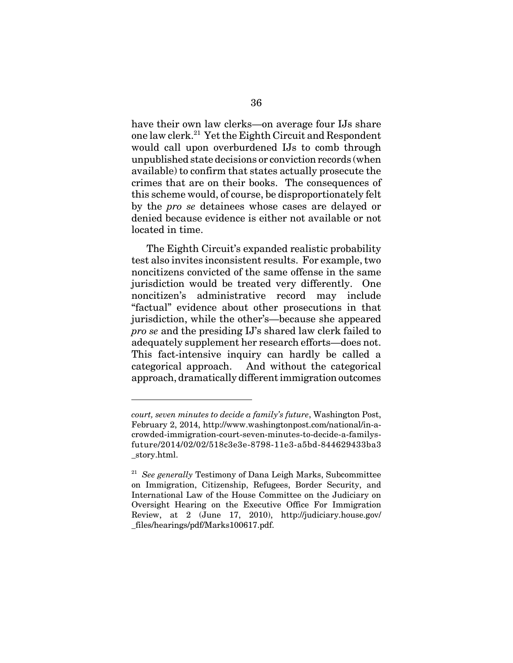have their own law clerks—on average four IJs share one law clerk.21 Yet the Eighth Circuit and Respondent would call upon overburdened IJs to comb through unpublished state decisions or conviction records (when available) to confirm that states actually prosecute the crimes that are on their books. The consequences of this scheme would, of course, be disproportionately felt by the *pro se* detainees whose cases are delayed or denied because evidence is either not available or not located in time.

The Eighth Circuit's expanded realistic probability test also invites inconsistent results. For example, two noncitizens convicted of the same offense in the same jurisdiction would be treated very differently. One noncitizen's administrative record may include "factual" evidence about other prosecutions in that jurisdiction, while the other's—because she appeared *pro se* and the presiding IJ's shared law clerk failed to adequately supplement her research efforts—does not. This fact-intensive inquiry can hardly be called a categorical approach. And without the categorical approach, dramatically different immigration outcomes

*court, seven minutes to decide a family's future*, Washington Post, February 2, 2014, http://www.washingtonpost.com/national/in-acrowded-immigration-court-seven-minutes-to-decide-a-familysfuture/2014/02/02/518c3e3e-8798-11e3-a5bd-844629433ba3 \_story.html.

<sup>21</sup> *See generally* Testimony of Dana Leigh Marks, Subcommittee on Immigration, Citizenship, Refugees, Border Security, and International Law of the House Committee on the Judiciary on Oversight Hearing on the Executive Office For Immigration Review, at 2 (June 17, 2010), http://judiciary.house.gov/ \_files/hearings/pdf/Marks100617.pdf.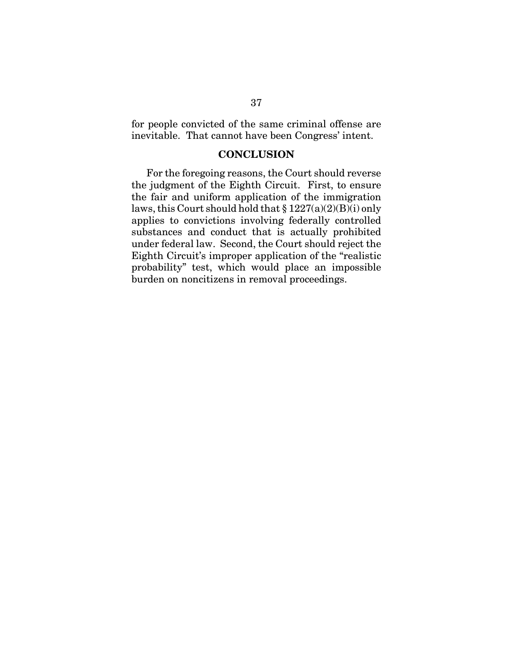for people convicted of the same criminal offense are inevitable. That cannot have been Congress' intent.

#### **CONCLUSION**

For the foregoing reasons, the Court should reverse the judgment of the Eighth Circuit. First, to ensure the fair and uniform application of the immigration laws, this Court should hold that  $\S 1227(a)(2)(B)(i)$  only applies to convictions involving federally controlled substances and conduct that is actually prohibited under federal law. Second, the Court should reject the Eighth Circuit's improper application of the "realistic probability" test, which would place an impossible burden on noncitizens in removal proceedings.